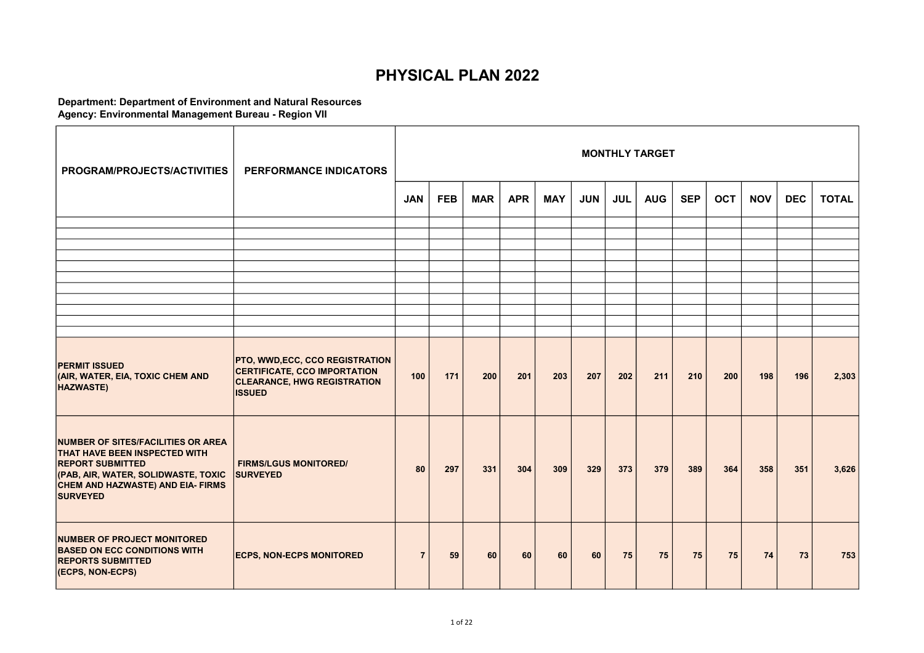## PHYSICAL PLAN 2022

## Department: Department of Environment and Natural Resources Agency: Environmental Management Bureau - Region VII

| PROGRAM/PROJECTS/ACTIVITIES                                                                                                                                                                          | PERFORMANCE INDICATORS                                                                                                       |                |            |            |            |            |            |            | <b>MONTHLY TARGET</b> |            |            |            |            |              |
|------------------------------------------------------------------------------------------------------------------------------------------------------------------------------------------------------|------------------------------------------------------------------------------------------------------------------------------|----------------|------------|------------|------------|------------|------------|------------|-----------------------|------------|------------|------------|------------|--------------|
|                                                                                                                                                                                                      |                                                                                                                              | <b>JAN</b>     | <b>FEB</b> | <b>MAR</b> | <b>APR</b> | <b>MAY</b> | <b>JUN</b> | <b>JUL</b> | <b>AUG</b>            | <b>SEP</b> | <b>OCT</b> | <b>NOV</b> | <b>DEC</b> | <b>TOTAL</b> |
|                                                                                                                                                                                                      |                                                                                                                              |                |            |            |            |            |            |            |                       |            |            |            |            |              |
|                                                                                                                                                                                                      |                                                                                                                              |                |            |            |            |            |            |            |                       |            |            |            |            |              |
|                                                                                                                                                                                                      |                                                                                                                              |                |            |            |            |            |            |            |                       |            |            |            |            |              |
|                                                                                                                                                                                                      |                                                                                                                              |                |            |            |            |            |            |            |                       |            |            |            |            |              |
|                                                                                                                                                                                                      |                                                                                                                              |                |            |            |            |            |            |            |                       |            |            |            |            |              |
|                                                                                                                                                                                                      |                                                                                                                              |                |            |            |            |            |            |            |                       |            |            |            |            |              |
|                                                                                                                                                                                                      |                                                                                                                              |                |            |            |            |            |            |            |                       |            |            |            |            |              |
|                                                                                                                                                                                                      |                                                                                                                              |                |            |            |            |            |            |            |                       |            |            |            |            |              |
| <b>PERMIT ISSUED</b><br>(AIR, WATER, EIA, TOXIC CHEM AND<br><b>HAZWASTE)</b>                                                                                                                         | <b>PTO, WWD,ECC, CCO REGISTRATION</b><br>CERTIFICATE, CCO IMPORTATION<br><b>CLEARANCE, HWG REGISTRATION</b><br><b>ISSUED</b> | 100            | 171        | 200        | 201        | 203        | 207        | 202        | 211                   | 210        | 200        | 198        | 196        | 2,303        |
| NUMBER OF SITES/FACILITIES OR AREA<br><b>THAT HAVE BEEN INSPECTED WITH</b><br><b>REPORT SUBMITTED</b><br>(PAB, AIR, WATER, SOLIDWASTE, TOXIC<br>CHEM AND HAZWASTE) AND EIA- FIRMS<br><b>SURVEYED</b> | <b>FIRMS/LGUS MONITORED/</b><br><b>SURVEYED</b>                                                                              | 80             | 297        | 331        | 304        | 309        | 329        | 373        | 379                   | 389        | 364        | 358        | 351        | 3,626        |
| NUMBER OF PROJECT MONITORED<br><b>BASED ON ECC CONDITIONS WITH</b><br><b>REPORTS SUBMITTED</b><br>(ECPS, NON-ECPS)                                                                                   | <b>ECPS, NON-ECPS MONITORED</b>                                                                                              | $\overline{7}$ | 59         | 60         | 60         | 60         | 60         | 75         | 75                    | 75         | 75         | 74         | 73         | 753          |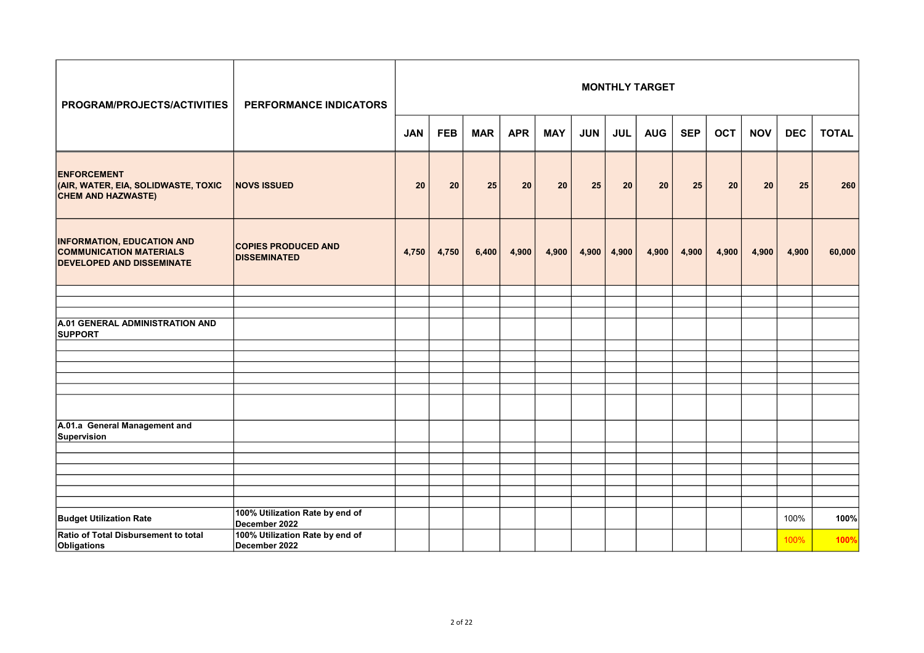| PROGRAM/PROJECTS/ACTIVITIES                                                                             | PERFORMANCE INDICATORS                            |            |            |            |            |            |            |            | <b>MONTHLY TARGET</b> |            |            |            |            |              |
|---------------------------------------------------------------------------------------------------------|---------------------------------------------------|------------|------------|------------|------------|------------|------------|------------|-----------------------|------------|------------|------------|------------|--------------|
|                                                                                                         |                                                   | <b>JAN</b> | <b>FEB</b> | <b>MAR</b> | <b>APR</b> | <b>MAY</b> | <b>JUN</b> | <b>JUL</b> | <b>AUG</b>            | <b>SEP</b> | <b>OCT</b> | <b>NOV</b> | <b>DEC</b> | <b>TOTAL</b> |
| <b>ENFORCEMENT</b><br>(AIR, WATER, EIA, SOLIDWASTE, TOXIC<br><b>CHEM AND HAZWASTE)</b>                  | <b>NOVS ISSUED</b>                                | 20         | 20         | 25         | 20         | 20         | 25         | 20         | 20                    | 25         | 20         | 20         | 25         | 260          |
| <b>INFORMATION, EDUCATION AND</b><br><b>COMMUNICATION MATERIALS</b><br><b>DEVELOPED AND DISSEMINATE</b> | <b>COPIES PRODUCED AND</b><br><b>DISSEMINATED</b> | 4,750      | 4,750      | 6,400      | 4,900      | 4,900      | 4,900      | 4,900      | 4,900                 | 4,900      | 4,900      | 4,900      | 4,900      | 60,000       |
|                                                                                                         |                                                   |            |            |            |            |            |            |            |                       |            |            |            |            |              |
|                                                                                                         |                                                   |            |            |            |            |            |            |            |                       |            |            |            |            |              |
| A.01 GENERAL ADMINISTRATION AND<br><b>SUPPORT</b>                                                       |                                                   |            |            |            |            |            |            |            |                       |            |            |            |            |              |
|                                                                                                         |                                                   |            |            |            |            |            |            |            |                       |            |            |            |            |              |
|                                                                                                         |                                                   |            |            |            |            |            |            |            |                       |            |            |            |            |              |
|                                                                                                         |                                                   |            |            |            |            |            |            |            |                       |            |            |            |            |              |
|                                                                                                         |                                                   |            |            |            |            |            |            |            |                       |            |            |            |            |              |
|                                                                                                         |                                                   |            |            |            |            |            |            |            |                       |            |            |            |            |              |
| A.01.a General Management and<br>Supervision                                                            |                                                   |            |            |            |            |            |            |            |                       |            |            |            |            |              |
|                                                                                                         |                                                   |            |            |            |            |            |            |            |                       |            |            |            |            |              |
|                                                                                                         |                                                   |            |            |            |            |            |            |            |                       |            |            |            |            |              |
|                                                                                                         |                                                   |            |            |            |            |            |            |            |                       |            |            |            |            |              |
|                                                                                                         |                                                   |            |            |            |            |            |            |            |                       |            |            |            |            |              |
|                                                                                                         |                                                   |            |            |            |            |            |            |            |                       |            |            |            |            |              |
| <b>Budget Utilization Rate</b>                                                                          | 100% Utilization Rate by end of<br>December 2022  |            |            |            |            |            |            |            |                       |            |            |            | 100%       | 100%         |
| Ratio of Total Disbursement to total<br>Obligations                                                     | 100% Utilization Rate by end of<br>December 2022  |            |            |            |            |            |            |            |                       |            |            |            | 100%       | 100%         |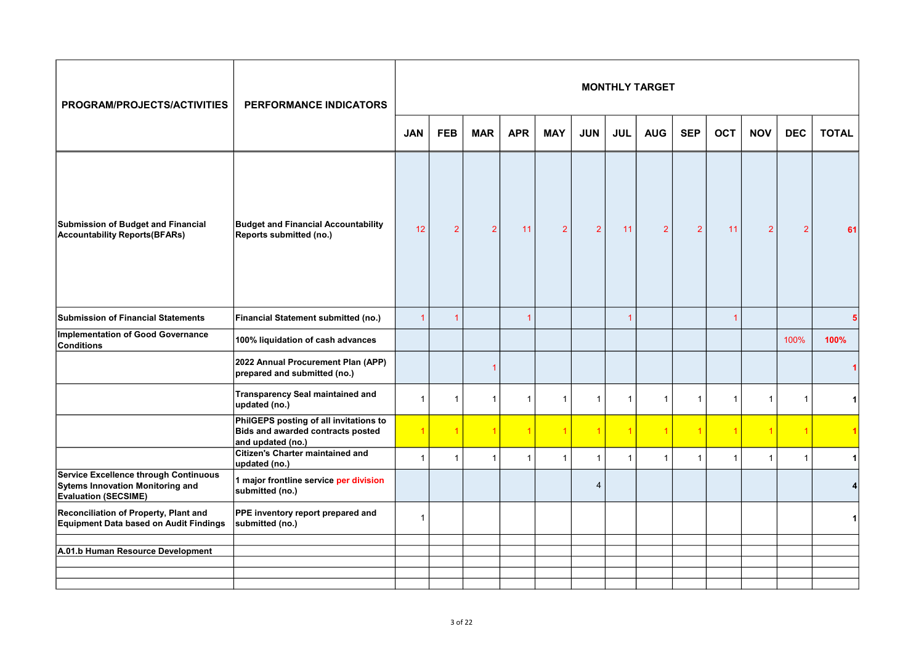| PROGRAM/PROJECTS/ACTIVITIES                                                                              | PERFORMANCE INDICATORS                                                                           |                |                      |                |                      |                |                |                | <b>MONTHLY TARGET</b> |                |                |                |                |              |
|----------------------------------------------------------------------------------------------------------|--------------------------------------------------------------------------------------------------|----------------|----------------------|----------------|----------------------|----------------|----------------|----------------|-----------------------|----------------|----------------|----------------|----------------|--------------|
|                                                                                                          |                                                                                                  | <b>JAN</b>     | <b>FEB</b>           | <b>MAR</b>     | <b>APR</b>           | <b>MAY</b>     | <b>JUN</b>     | <b>JUL</b>     | <b>AUG</b>            | <b>SEP</b>     | <b>OCT</b>     | <b>NOV</b>     | <b>DEC</b>     | <b>TOTAL</b> |
| Submission of Budget and Financial<br><b>Accountability Reports (BFARs)</b>                              | <b>Budget and Financial Accountability</b><br>Reports submitted (no.)                            | 12             | $\overline{2}$       | 2              | 11                   | $\overline{2}$ | $\overline{2}$ | 11             | $\overline{2}$        | $\overline{2}$ | 11             | $\overline{2}$ | $\overline{2}$ | 61           |
| <b>Submission of Financial Statements</b>                                                                | <b>Financial Statement submitted (no.)</b>                                                       | $\overline{1}$ | $\blacktriangleleft$ |                | -1                   |                |                | 1              |                       |                | $\overline{1}$ |                |                |              |
| <b>Implementation of Good Governance</b><br><b>Conditions</b>                                            | 100% liquidation of cash advances                                                                |                |                      |                |                      |                |                |                |                       |                |                |                | 100%           | 100%         |
|                                                                                                          | 2022 Annual Procurement Plan (APP)<br>prepared and submitted (no.)                               |                |                      | -1             |                      |                |                |                |                       |                |                |                |                |              |
|                                                                                                          | <b>Transparency Seal maintained and</b><br>updated (no.)                                         | $\overline{1}$ | $\mathbf{1}$         | $\overline{1}$ | $\mathbf{1}$         | $\mathbf{1}$   | $\mathbf{1}$   | $\mathbf{1}$   | $\overline{1}$        | $\mathbf{1}$   | $\overline{1}$ | $\mathbf{1}$   | $\overline{1}$ |              |
|                                                                                                          | PhilGEPS posting of all invitations to<br>Bids and awarded contracts posted<br>and updated (no.) |                |                      |                | $\blacktriangleleft$ | $\overline{1}$ | $\overline{1}$ | $\overline{1}$ | 1                     | 1              |                | $\overline{1}$ |                |              |
|                                                                                                          | <b>Citizen's Charter maintained and</b><br>updated (no.)                                         | $\overline{1}$ | $\mathbf{1}$         | -1             | $\mathbf{1}$         | $\mathbf{1}$   | $\mathbf{1}$   | $\mathbf{1}$   | 1                     | $\mathbf{1}$   | 1              | $\mathbf{1}$   | 1              | 1            |
| Service Excellence through Continuous<br>Sytems Innovation Monitoring and<br><b>Evaluation (SECSIME)</b> | 1 major frontline service per division<br>submitted (no.)                                        |                |                      |                |                      |                | 4              |                |                       |                |                |                |                |              |
| Reconciliation of Property, Plant and<br>Equipment Data based on Audit Findings                          | PPE inventory report prepared and<br>submitted (no.)                                             | $\overline{1}$ |                      |                |                      |                |                |                |                       |                |                |                |                |              |
| A.01.b Human Resource Development                                                                        |                                                                                                  |                |                      |                |                      |                |                |                |                       |                |                |                |                |              |
|                                                                                                          |                                                                                                  |                |                      |                |                      |                |                |                |                       |                |                |                |                |              |
|                                                                                                          |                                                                                                  |                |                      |                |                      |                |                |                |                       |                |                |                |                |              |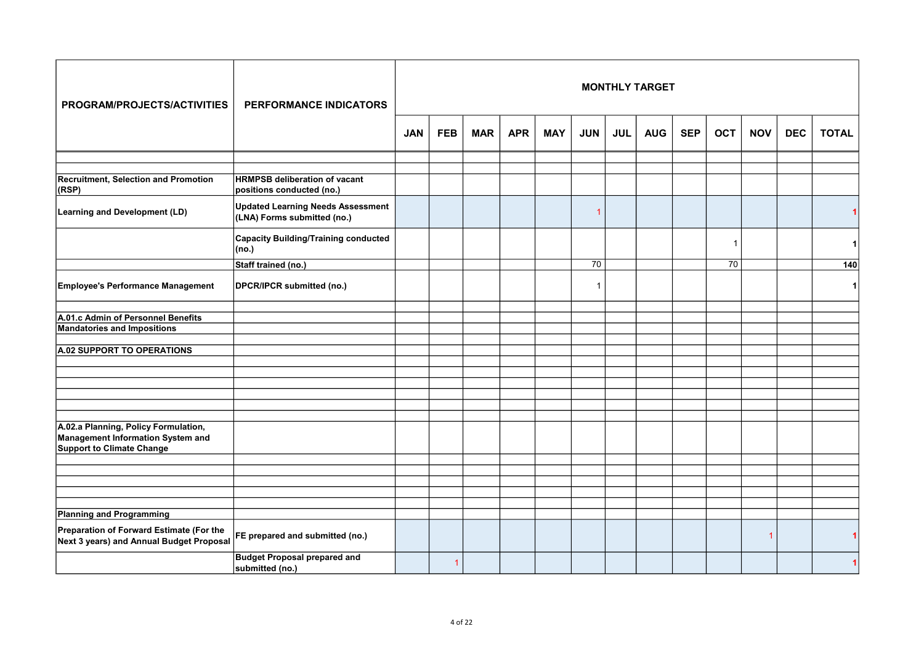| PROGRAM/PROJECTS/ACTIVITIES                                                                            | PERFORMANCE INDICATORS                                                  |            |            |            |            |            |                          |            | <b>MONTHLY TARGET</b> |            |            |                |            |              |
|--------------------------------------------------------------------------------------------------------|-------------------------------------------------------------------------|------------|------------|------------|------------|------------|--------------------------|------------|-----------------------|------------|------------|----------------|------------|--------------|
|                                                                                                        |                                                                         | <b>JAN</b> | <b>FEB</b> | <b>MAR</b> | <b>APR</b> | <b>MAY</b> | <b>JUN</b>               | <b>JUL</b> | <b>AUG</b>            | <b>SEP</b> | <b>OCT</b> | <b>NOV</b>     | <b>DEC</b> | <b>TOTAL</b> |
|                                                                                                        |                                                                         |            |            |            |            |            |                          |            |                       |            |            |                |            |              |
| <b>Recruitment, Selection and Promotion</b><br>(RSP)                                                   | <b>HRMPSB deliberation of vacant</b><br>positions conducted (no.)       |            |            |            |            |            |                          |            |                       |            |            |                |            |              |
| <b>Learning and Development (LD)</b>                                                                   | <b>Updated Learning Needs Assessment</b><br>(LNA) Forms submitted (no.) |            |            |            |            |            | 1                        |            |                       |            |            |                |            |              |
|                                                                                                        | <b>Capacity Building/Training conducted</b><br>(no.)                    |            |            |            |            |            |                          |            |                       |            | -1         |                |            | 1            |
|                                                                                                        | Staff trained (no.)                                                     |            |            |            |            |            | 70                       |            |                       |            | 70         |                |            | 140          |
| Employee's Performance Management                                                                      | DPCR/IPCR submitted (no.)                                               |            |            |            |            |            | $\overline{\phantom{a}}$ |            |                       |            |            |                |            | 1            |
|                                                                                                        |                                                                         |            |            |            |            |            |                          |            |                       |            |            |                |            |              |
| A.01.c Admin of Personnel Benefits<br><b>Mandatories and Impositions</b>                               |                                                                         |            |            |            |            |            |                          |            |                       |            |            |                |            |              |
|                                                                                                        |                                                                         |            |            |            |            |            |                          |            |                       |            |            |                |            |              |
| A.02 SUPPORT TO OPERATIONS                                                                             |                                                                         |            |            |            |            |            |                          |            |                       |            |            |                |            |              |
|                                                                                                        |                                                                         |            |            |            |            |            |                          |            |                       |            |            |                |            |              |
|                                                                                                        |                                                                         |            |            |            |            |            |                          |            |                       |            |            |                |            |              |
|                                                                                                        |                                                                         |            |            |            |            |            |                          |            |                       |            |            |                |            |              |
|                                                                                                        |                                                                         |            |            |            |            |            |                          |            |                       |            |            |                |            |              |
| A.02.a Planning, Policy Formulation,<br>Management Information System and<br>Support to Climate Change |                                                                         |            |            |            |            |            |                          |            |                       |            |            |                |            |              |
|                                                                                                        |                                                                         |            |            |            |            |            |                          |            |                       |            |            |                |            |              |
|                                                                                                        |                                                                         |            |            |            |            |            |                          |            |                       |            |            |                |            |              |
|                                                                                                        |                                                                         |            |            |            |            |            |                          |            |                       |            |            |                |            |              |
|                                                                                                        |                                                                         |            |            |            |            |            |                          |            |                       |            |            |                |            |              |
| <b>Planning and Programming</b>                                                                        |                                                                         |            |            |            |            |            |                          |            |                       |            |            |                |            |              |
| Preparation of Forward Estimate (For the<br>Next 3 years) and Annual Budget Proposal                   | FE prepared and submitted (no.)                                         |            |            |            |            |            |                          |            |                       |            |            | $\overline{1}$ |            |              |
|                                                                                                        | <b>Budget Proposal prepared and</b><br>submitted (no.)                  |            |            |            |            |            |                          |            |                       |            |            |                |            |              |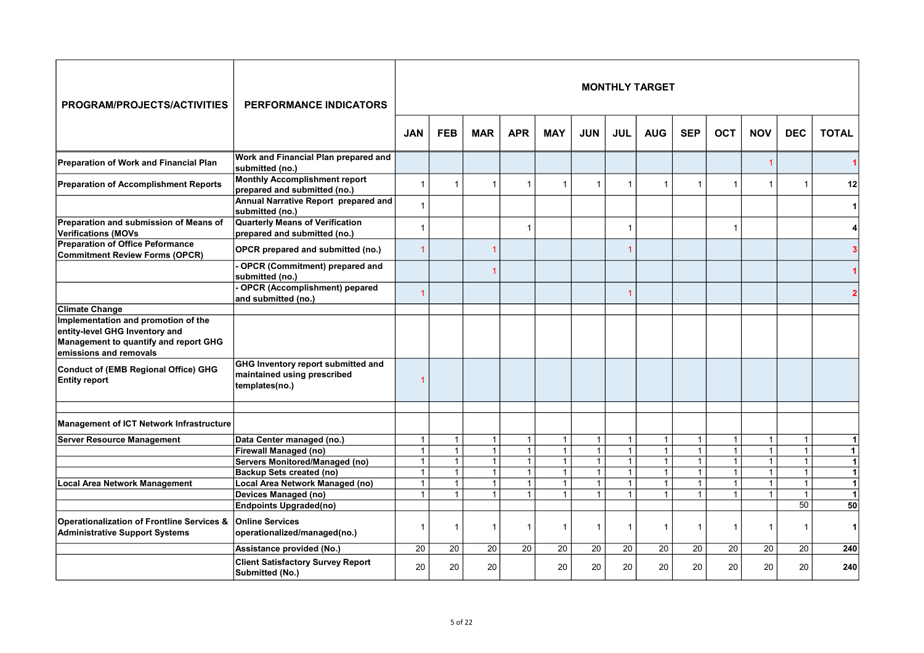| <b>PROGRAM/PROJECTS/ACTIVITIES</b>                                                                                                       | <b>PERFORMANCE INDICATORS</b>                                                       |                              |                              |                                |                              |                              |                              |                              | <b>MONTHLY TARGET</b>        |                              |                                |                              |                             |                   |
|------------------------------------------------------------------------------------------------------------------------------------------|-------------------------------------------------------------------------------------|------------------------------|------------------------------|--------------------------------|------------------------------|------------------------------|------------------------------|------------------------------|------------------------------|------------------------------|--------------------------------|------------------------------|-----------------------------|-------------------|
|                                                                                                                                          |                                                                                     | <b>JAN</b>                   | <b>FEB</b>                   | <b>MAR</b>                     | <b>APR</b>                   | <b>MAY</b>                   | <b>JUN</b>                   | <b>JUL</b>                   | <b>AUG</b>                   | <b>SEP</b>                   | <b>OCT</b>                     | <b>NOV</b>                   | <b>DEC</b>                  | <b>TOTAL</b>      |
| Preparation of Work and Financial Plan                                                                                                   | Work and Financial Plan prepared and<br>submitted (no.)                             |                              |                              |                                |                              |                              |                              |                              |                              |                              |                                | $\overline{1}$               |                             |                   |
| <b>Preparation of Accomplishment Reports</b>                                                                                             | <b>Monthly Accomplishment report</b><br>prepared and submitted (no.)                | $\overline{1}$               | $\mathbf{1}$                 | $\mathbf{1}$                   | $\mathbf{1}$                 | $\mathbf{1}$                 | $\mathbf{1}$                 | 1                            | 1                            | $\mathbf{1}$                 | $\overline{1}$                 | $\overline{1}$               | $\mathbf 1$                 | 12                |
|                                                                                                                                          | Annual Narrative Report prepared and<br>submitted (no.)                             | $\overline{1}$               |                              |                                |                              |                              |                              |                              |                              |                              |                                |                              |                             | 1                 |
| Preparation and submission of Means of<br><b>Verifications (MOVs</b>                                                                     | <b>Quarterly Means of Verification</b><br>prepared and submitted (no.)              | $\overline{1}$               |                              |                                | $\mathbf 1$                  |                              |                              | 1                            |                              |                              | $\overline{1}$                 |                              |                             | 4                 |
| <b>Preparation of Office Peformance</b><br><b>Commitment Review Forms (OPCR)</b>                                                         | OPCR prepared and submitted (no.)                                                   | 1                            |                              |                                |                              |                              |                              |                              |                              |                              |                                |                              |                             |                   |
|                                                                                                                                          | OPCR (Commitment) prepared and<br>submitted (no.)                                   |                              |                              |                                |                              |                              |                              |                              |                              |                              |                                |                              |                             |                   |
|                                                                                                                                          | OPCR (Accomplishment) pepared<br>and submitted (no.)                                | 1                            |                              |                                |                              |                              |                              |                              |                              |                              |                                |                              |                             |                   |
| <b>Climate Change</b>                                                                                                                    |                                                                                     |                              |                              |                                |                              |                              |                              |                              |                              |                              |                                |                              |                             |                   |
| Implementation and promotion of the<br>entity-level GHG Inventory and<br>Management to quantify and report GHG<br>emissions and removals |                                                                                     |                              |                              |                                |                              |                              |                              |                              |                              |                              |                                |                              |                             |                   |
| Conduct of (EMB Regional Office) GHG<br><b>Entity report</b>                                                                             | GHG Inventory report submitted and<br>maintained using prescribed<br>templates(no.) | 1                            |                              |                                |                              |                              |                              |                              |                              |                              |                                |                              |                             |                   |
| Management of ICT Network Infrastructure                                                                                                 |                                                                                     |                              |                              |                                |                              |                              |                              |                              |                              |                              |                                |                              |                             |                   |
|                                                                                                                                          |                                                                                     |                              |                              |                                |                              |                              |                              |                              |                              |                              |                                |                              |                             |                   |
| <b>Server Resource Management</b>                                                                                                        | Data Center managed (no.)                                                           | $\mathbf{1}$                 | $\mathbf{1}$                 | $\mathbf{1}$                   | $\mathbf{1}$                 | $\mathbf{1}$                 | $\mathbf{1}$                 | $\mathbf{1}$                 | $\mathbf{1}$                 | $\mathbf{1}$                 | $\overline{1}$                 | $\mathbf{1}$                 | $\mathbf{1}$                | $\mathbf{1}$      |
|                                                                                                                                          | <b>Firewall Managed (no)</b>                                                        | $\mathbf{1}$                 | $\mathbf{1}$                 | $\mathbf{1}$                   | $\mathbf{1}$                 | $\mathbf{1}$                 | $\mathbf{1}$                 | $\mathbf{1}$                 | $\mathbf{1}$                 | $\mathbf{1}$                 | $\mathbf{1}$                   | $\mathbf{1}$                 | $\overline{1}$              | 1                 |
|                                                                                                                                          | Servers Monitored/Managed (no)                                                      | $\overline{1}$               | $\mathbf{1}$                 | $\mathbf{1}$                   | $\mathbf{1}$                 | $\mathbf{1}$                 | $\mathbf{1}$                 | $\mathbf{1}$                 | $\mathbf{1}$                 | $\mathbf{1}$                 | $\mathbf{1}$                   | $\mathbf{1}$                 | $\mathbf{1}$                | 1                 |
|                                                                                                                                          | Backup Sets created (no)                                                            | $\mathbf{1}$<br>$\mathbf{1}$ | $\mathbf{1}$<br>$\mathbf{1}$ | $\mathbf{1}$<br>$\overline{1}$ | $\mathbf{1}$<br>$\mathbf{1}$ | $\mathbf{1}$<br>$\mathbf{1}$ | $\mathbf{1}$<br>$\mathbf{1}$ | $\mathbf{1}$<br>$\mathbf{1}$ | $\mathbf{1}$<br>$\mathbf{1}$ | $\mathbf{1}$<br>$\mathbf{1}$ | $\mathbf{1}$<br>1 <sup>1</sup> | $\mathbf{1}$<br>$\mathbf{1}$ | $\mathbf{1}$<br>$\mathbf 1$ | 1<br>$\mathbf{1}$ |
| <b>Local Area Network Management</b>                                                                                                     | Local Area Network Managed (no)<br><b>Devices Managed (no)</b>                      | $\mathbf{1}$                 | $\mathbf{1}$                 | $\overline{1}$                 | $\mathbf{1}$                 | $\mathbf{1}$                 | $\overline{1}$               | $\mathbf{1}$                 | 1                            | $\mathbf{1}$                 | $\mathbf{1}$                   | 1                            |                             | $\blacksquare$    |
|                                                                                                                                          | <b>Endpoints Upgraded(no)</b>                                                       |                              |                              |                                |                              |                              |                              |                              |                              |                              |                                |                              | 50                          | 50                |
| Operationalization of Frontline Services &<br><b>Administrative Support Systems</b>                                                      | <b>Online Services</b><br>operationalized/managed(no.)                              | $\overline{1}$               | 1                            | -1                             | $\mathbf 1$                  | $\mathbf 1$                  | $\mathbf{1}$                 | 1                            | -1                           | $\mathbf{1}$                 | 1                              | 1                            |                             | 11                |
|                                                                                                                                          | Assistance provided (No.)                                                           | 20                           | 20                           | 20                             | 20                           | 20                           | 20                           | 20                           | 20                           | 20                           | 20                             | 20                           | 20                          | 240               |
|                                                                                                                                          | <b>Client Satisfactory Survey Report</b><br>Submitted (No.)                         | 20                           | 20                           | 20                             |                              | 20                           | 20                           | 20                           | 20                           | 20                           | 20                             | 20                           | 20                          | 240               |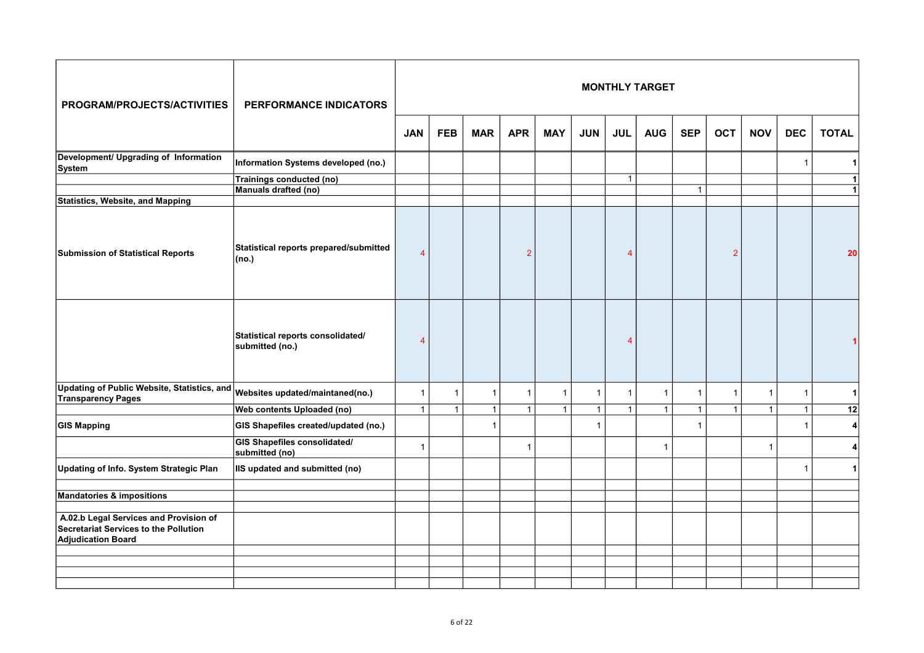| PROGRAM/PROJECTS/ACTIVITIES                                                                                         | PERFORMANCE INDICATORS                                |                |              |              |                |              |              |              | <b>MONTHLY TARGET</b> |                |              |              |                |                |
|---------------------------------------------------------------------------------------------------------------------|-------------------------------------------------------|----------------|--------------|--------------|----------------|--------------|--------------|--------------|-----------------------|----------------|--------------|--------------|----------------|----------------|
|                                                                                                                     |                                                       | <b>JAN</b>     | <b>FEB</b>   | <b>MAR</b>   | <b>APR</b>     | <b>MAY</b>   | <b>JUN</b>   | <b>JUL</b>   | <b>AUG</b>            | <b>SEP</b>     | <b>OCT</b>   | <b>NOV</b>   | <b>DEC</b>     | <b>TOTAL</b>   |
| Development/ Upgrading of Information<br>System                                                                     | Information Systems developed (no.)                   |                |              |              |                |              |              |              |                       |                |              |              | $\overline{1}$ |                |
|                                                                                                                     | Trainings conducted (no)                              |                |              |              |                |              |              | $\mathbf{1}$ |                       |                |              |              |                | $\blacksquare$ |
|                                                                                                                     | Manuals drafted (no)                                  |                |              |              |                |              |              |              |                       | $\mathbf{1}$   |              |              |                | $\mathbf{1}$   |
| <b>Statistics, Website, and Mapping</b>                                                                             |                                                       |                |              |              |                |              |              |              |                       |                |              |              |                |                |
| Submission of Statistical Reports                                                                                   | Statistical reports prepared/submitted<br>(no.)       | $\overline{4}$ |              |              | $\overline{2}$ |              |              | 4            |                       |                | 2            |              |                | 20             |
|                                                                                                                     | Statistical reports consolidated/<br>submitted (no.)  | 4              |              |              |                |              |              | 4            |                       |                |              |              |                |                |
| <b>Updating of Public Website, Statistics, and</b><br><b>Transparency Pages</b>                                     | Websites updated/maintaned(no.)                       | $\overline{1}$ | $\mathbf{1}$ | -1           | $\mathbf{1}$   | $\mathbf{1}$ | $\mathbf{1}$ | 1            | 1                     | $\overline{1}$ | 1            | $\mathbf{1}$ | 1              | $\mathbf{1}$   |
|                                                                                                                     | Web contents Uploaded (no)                            | $\mathbf{1}$   | $\mathbf{1}$ | $\mathbf{1}$ | $\mathbf{1}$   | $\mathbf{1}$ | $\mathbf{1}$ | $\mathbf{1}$ | $\mathbf{1}$          | $\mathbf{1}$   | $\mathbf{1}$ | $\mathbf{1}$ | $\mathbf{1}$   | 12             |
| <b>GIS Mapping</b>                                                                                                  | GIS Shapefiles created/updated (no.)                  |                |              | $\mathbf{1}$ |                |              | $\mathbf{1}$ |              |                       | $\mathbf{1}$   |              |              | $\overline{1}$ | $\vert$        |
|                                                                                                                     | <b>GIS Shapefiles consolidated/</b><br>submitted (no) | $\overline{1}$ |              |              | $\mathbf{1}$   |              |              |              | 1                     |                |              | $\mathbf{1}$ |                | 4              |
| Updating of Info. System Strategic Plan                                                                             | IIS updated and submitted (no)                        |                |              |              |                |              |              |              |                       |                |              |              | $\overline{1}$ | $\mathbf{1}$   |
|                                                                                                                     |                                                       |                |              |              |                |              |              |              |                       |                |              |              |                |                |
| <b>Mandatories &amp; impositions</b>                                                                                |                                                       |                |              |              |                |              |              |              |                       |                |              |              |                |                |
| A.02.b Legal Services and Provision of<br><b>Secretariat Services to the Pollution</b><br><b>Adjudication Board</b> |                                                       |                |              |              |                |              |              |              |                       |                |              |              |                |                |
|                                                                                                                     |                                                       |                |              |              |                |              |              |              |                       |                |              |              |                |                |
|                                                                                                                     |                                                       |                |              |              |                |              |              |              |                       |                |              |              |                |                |
|                                                                                                                     |                                                       |                |              |              |                |              |              |              |                       |                |              |              |                |                |
|                                                                                                                     |                                                       |                |              |              |                |              |              |              |                       |                |              |              |                |                |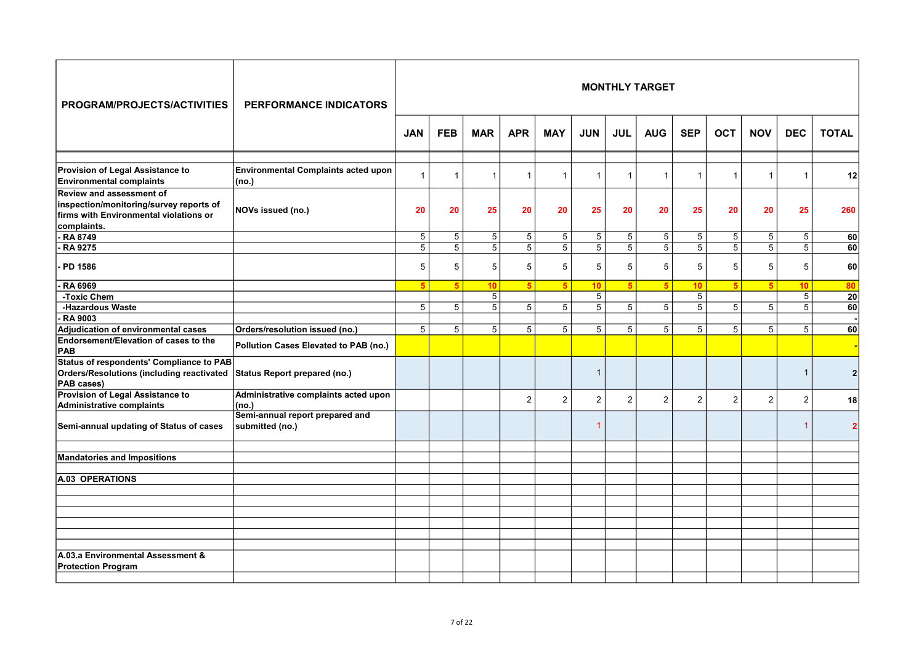| PROGRAM/PROJECTS/ACTIVITIES                                                                                                         | <b>PERFORMANCE INDICATORS</b>                       |                 |                |                |                |                |                |                 | <b>MONTHLY TARGET</b> |                 |                |                |                          |                 |
|-------------------------------------------------------------------------------------------------------------------------------------|-----------------------------------------------------|-----------------|----------------|----------------|----------------|----------------|----------------|-----------------|-----------------------|-----------------|----------------|----------------|--------------------------|-----------------|
|                                                                                                                                     |                                                     | <b>JAN</b>      | <b>FEB</b>     | <b>MAR</b>     | <b>APR</b>     | <b>MAY</b>     | <b>JUN</b>     | <b>JUL</b>      | <b>AUG</b>            | <b>SEP</b>      | <b>OCT</b>     | <b>NOV</b>     | <b>DEC</b>               | <b>TOTAL</b>    |
| Provision of Legal Assistance to<br><b>Environmental complaints</b>                                                                 | <b>Environmental Complaints acted upon</b><br>(no.) | $\overline{1}$  | 1              |                | $\mathbf{1}$   | $\mathbf{1}$   | $\mathbf{1}$   | $\overline{1}$  | $\overline{1}$        | $\overline{1}$  | $\overline{1}$ | $\mathbf{1}$   | $\overline{1}$           | 12              |
| <b>Review and assessment of</b><br>inspection/monitoring/survey reports of<br>firms with Environmental violations or<br>complaints. | NOVs issued (no.)                                   | 20              | 20             | 25             | 20             | 20             | 25             | 20              | 20                    | 25              | 20             | 20             | 25                       | 260             |
| - RA 8749                                                                                                                           |                                                     | $5\phantom{.0}$ | 5              | 5 <sup>1</sup> | 5              | 5              | 5              | $5\phantom{.0}$ | 5                     | $5\phantom{.0}$ | 5              | 5              | 5                        | <b>60</b>       |
| - RA 9275                                                                                                                           |                                                     | $\overline{5}$  | $\overline{5}$ | $\overline{5}$ | $\overline{5}$ | $\overline{5}$ | $\overline{5}$ | $\overline{5}$  | $\overline{5}$        | $\overline{5}$  | $\overline{5}$ | $\overline{5}$ | $\overline{5}$           | 60              |
| PD 1586                                                                                                                             |                                                     | 5               | 5              | 5              | $\sqrt{5}$     | 5              | 5              | 5               | 5                     | 5               | 5              | 5              | 5                        | 60              |
| RA 6969                                                                                                                             |                                                     | $5\overline{5}$ | 5              | 10             | 5 <sup>5</sup> | 5 <sup>5</sup> | 10             | 5               | $5\overline{5}$       | 10              | 5              | 5              | 10                       | 80              |
| -Toxic Chem                                                                                                                         |                                                     |                 |                | $\overline{5}$ |                |                | $\overline{5}$ |                 |                       | $\overline{5}$  |                |                | $\overline{5}$           | $\overline{20}$ |
| -Hazardous Waste                                                                                                                    |                                                     | $\overline{5}$  | 5              | $5\vert$       | $\overline{5}$ | 5              | 5              | 5               | 5                     | $\overline{5}$  | 5              | 5              | 5                        | 60              |
| <b>RA 9003</b>                                                                                                                      |                                                     |                 |                |                |                |                |                |                 |                       |                 |                |                |                          |                 |
| Adjudication of environmental cases                                                                                                 | Orders/resolution issued (no.)                      | 5               | 5              | 5 <sup>1</sup> | 5              | 5              | 5              | 5               | 5                     | 5               | 5              | 5              | 5                        | 60 <sup>1</sup> |
| Endorsement/Elevation of cases to the<br>PAB                                                                                        | Pollution Cases Elevated to PAB (no.)               |                 |                |                |                |                |                |                 |                       |                 |                |                |                          |                 |
| Status of respondents' Compliance to PAB<br><b>Orders/Resolutions (including reactivated</b><br>PAB cases)                          | Status Report prepared (no.)                        |                 |                |                |                |                | $\mathbf{1}$   |                 |                       |                 |                |                | $\overline{\phantom{a}}$ | 2 <sup>1</sup>  |
| Provision of Legal Assistance to<br>Administrative complaints                                                                       | Administrative complaints acted upon<br>(no.)       |                 |                |                | $\overline{2}$ | $\overline{2}$ | $\overline{c}$ | $\overline{2}$  | $\overline{2}$        | $\overline{2}$  | $\overline{2}$ | $\overline{c}$ | $\overline{2}$           | 18 <sup>1</sup> |
| Semi-annual updating of Status of cases                                                                                             | Semi-annual report prepared and<br>submitted (no.)  |                 |                |                |                |                | $\overline{1}$ |                 |                       |                 |                |                |                          | $\overline{2}$  |
| <b>Mandatories and Impositions</b>                                                                                                  |                                                     |                 |                |                |                |                |                |                 |                       |                 |                |                |                          |                 |
| A.03 OPERATIONS                                                                                                                     |                                                     |                 |                |                |                |                |                |                 |                       |                 |                |                |                          |                 |
|                                                                                                                                     |                                                     |                 |                |                |                |                |                |                 |                       |                 |                |                |                          |                 |
|                                                                                                                                     |                                                     |                 |                |                |                |                |                |                 |                       |                 |                |                |                          |                 |
|                                                                                                                                     |                                                     |                 |                |                |                |                |                |                 |                       |                 |                |                |                          |                 |
|                                                                                                                                     |                                                     |                 |                |                |                |                |                |                 |                       |                 |                |                |                          |                 |
|                                                                                                                                     |                                                     |                 |                |                |                |                |                |                 |                       |                 |                |                |                          |                 |
| A.03.a Environmental Assessment &                                                                                                   |                                                     |                 |                |                |                |                |                |                 |                       |                 |                |                |                          |                 |
| <b>Protection Program</b>                                                                                                           |                                                     |                 |                |                |                |                |                |                 |                       |                 |                |                |                          |                 |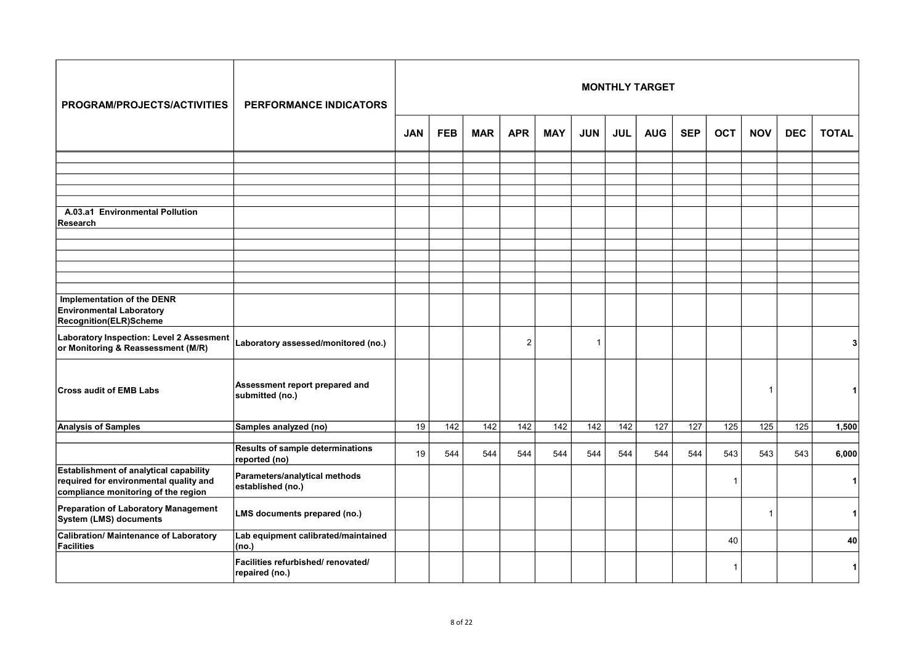| PROGRAM/PROJECTS/ACTIVITIES                                                                                             | <b>PERFORMANCE INDICATORS</b>                        |            |            |            |                  |            |                  |                 | <b>MONTHLY TARGET</b> |            |                 |                  |            |                 |
|-------------------------------------------------------------------------------------------------------------------------|------------------------------------------------------|------------|------------|------------|------------------|------------|------------------|-----------------|-----------------------|------------|-----------------|------------------|------------|-----------------|
|                                                                                                                         |                                                      | <b>JAN</b> | <b>FEB</b> | <b>MAR</b> | <b>APR</b>       | <b>MAY</b> | <b>JUN</b>       | <b>JUL</b>      | <b>AUG</b>            | <b>SEP</b> | <b>OCT</b>      | <b>NOV</b>       | <b>DEC</b> | <b>TOTAL</b>    |
|                                                                                                                         |                                                      |            |            |            |                  |            |                  |                 |                       |            |                 |                  |            |                 |
|                                                                                                                         |                                                      |            |            |            |                  |            |                  |                 |                       |            |                 |                  |            |                 |
|                                                                                                                         |                                                      |            |            |            |                  |            |                  |                 |                       |            |                 |                  |            |                 |
| A.03.a1 Environmental Pollution<br>Research                                                                             |                                                      |            |            |            |                  |            |                  |                 |                       |            |                 |                  |            |                 |
|                                                                                                                         |                                                      |            |            |            |                  |            |                  |                 |                       |            |                 |                  |            |                 |
|                                                                                                                         |                                                      |            |            |            |                  |            |                  |                 |                       |            |                 |                  |            |                 |
|                                                                                                                         |                                                      |            |            |            |                  |            |                  |                 |                       |            |                 |                  |            |                 |
|                                                                                                                         |                                                      |            |            |            |                  |            |                  |                 |                       |            |                 |                  |            |                 |
| Implementation of the DENR<br><b>Environmental Laboratory</b><br>Recognition(ELR)Scheme                                 |                                                      |            |            |            |                  |            |                  |                 |                       |            |                 |                  |            |                 |
| Laboratory Inspection: Level 2 Assesment<br>or Monitoring & Reassessment (M/R)                                          | Laboratory assessed/monitored (no.)                  |            |            |            | $\overline{2}$   |            | $\overline{1}$   |                 |                       |            |                 |                  |            | 31              |
| <b>Cross audit of EMB Labs</b>                                                                                          | Assessment report prepared and<br>submitted (no.)    |            |            |            |                  |            |                  |                 |                       |            |                 | $\mathbf 1$      |            |                 |
| <b>Analysis of Samples</b>                                                                                              | Samples analyzed (no)                                | 19         | 142        | 142        | $\overline{142}$ | 142        | $\overline{142}$ | $\frac{142}{x}$ | $\overline{127}$      | 127        | $\frac{1}{125}$ | $\overline{125}$ | 125        | 1,500           |
|                                                                                                                         | <b>Results of sample determinations</b>              |            |            |            |                  |            |                  |                 |                       |            |                 |                  |            |                 |
|                                                                                                                         | reported (no)                                        | 19         | 544        | 544        | 544              | 544        | 544              | 544             | 544                   | 544        | 543             | 543              | 543        | 6,000           |
| Establishment of analytical capability<br>required for environmental quality and<br>compliance monitoring of the region | Parameters/analytical methods<br>established (no.)   |            |            |            |                  |            |                  |                 |                       |            | 1               |                  |            | 1               |
| Preparation of Laboratory Management<br>System (LMS) documents                                                          | LMS documents prepared (no.)                         |            |            |            |                  |            |                  |                 |                       |            |                 | $\mathbf{1}$     |            | 1               |
| Calibration/ Maintenance of Laboratory<br><b>Facilities</b>                                                             | Lab equipment calibrated/maintained<br>(no.)         |            |            |            |                  |            |                  |                 |                       |            | 40              |                  |            | 40 <sub>1</sub> |
|                                                                                                                         | Facilities refurbished/ renovated/<br>repaired (no.) |            |            |            |                  |            |                  |                 |                       |            | -1              |                  |            | 1               |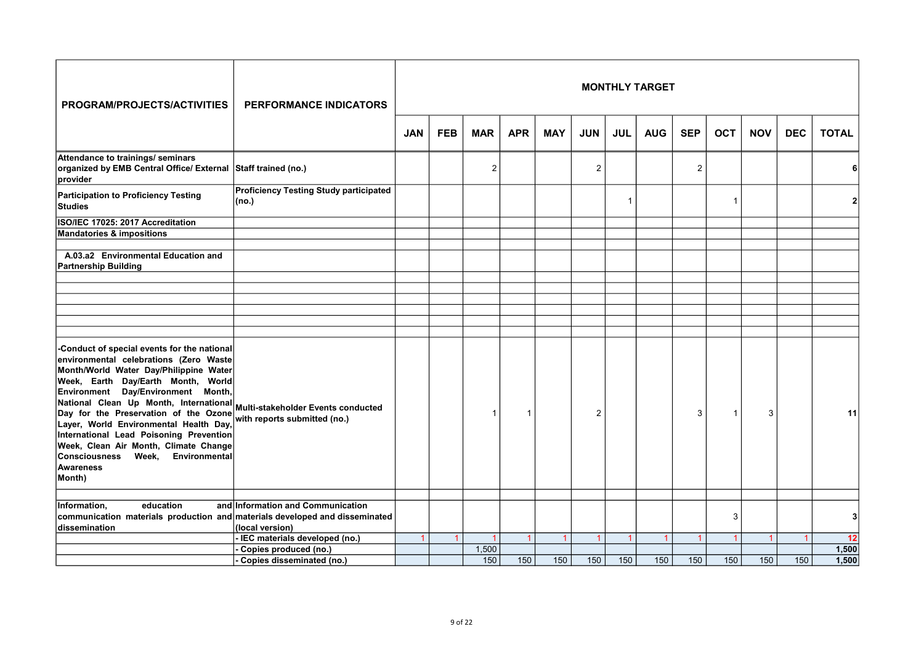| PROGRAM/PROJECTS/ACTIVITIES                                                                                                                                                                                                                                                                                                                                                                                                                                                                                     | <b>PERFORMANCE INDICATORS</b>                                      |            |            |            |            |                      |                |                | <b>MONTHLY TARGET</b> |            |                |                |            |              |
|-----------------------------------------------------------------------------------------------------------------------------------------------------------------------------------------------------------------------------------------------------------------------------------------------------------------------------------------------------------------------------------------------------------------------------------------------------------------------------------------------------------------|--------------------------------------------------------------------|------------|------------|------------|------------|----------------------|----------------|----------------|-----------------------|------------|----------------|----------------|------------|--------------|
|                                                                                                                                                                                                                                                                                                                                                                                                                                                                                                                 |                                                                    | <b>JAN</b> | <b>FEB</b> | <b>MAR</b> | <b>APR</b> | <b>MAY</b>           | <b>JUN</b>     | <b>JUL</b>     | <b>AUG</b>            | <b>SEP</b> | <b>OCT</b>     | <b>NOV</b>     | <b>DEC</b> | <b>TOTAL</b> |
| Attendance to trainings/ seminars<br>organized by EMB Central Office/ External Staff trained (no.)<br>provider                                                                                                                                                                                                                                                                                                                                                                                                  |                                                                    |            |            | 2          |            |                      | $\overline{2}$ |                |                       | 2          |                |                |            |              |
| <b>Participation to Proficiency Testing</b><br><b>Studies</b>                                                                                                                                                                                                                                                                                                                                                                                                                                                   | <b>Proficiency Testing Study participated</b><br>(no.)             |            |            |            |            |                      |                | 1              |                       |            | -1             |                |            |              |
| ISO/IEC 17025: 2017 Accreditation                                                                                                                                                                                                                                                                                                                                                                                                                                                                               |                                                                    |            |            |            |            |                      |                |                |                       |            |                |                |            |              |
| <b>Mandatories &amp; impositions</b>                                                                                                                                                                                                                                                                                                                                                                                                                                                                            |                                                                    |            |            |            |            |                      |                |                |                       |            |                |                |            |              |
|                                                                                                                                                                                                                                                                                                                                                                                                                                                                                                                 |                                                                    |            |            |            |            |                      |                |                |                       |            |                |                |            |              |
| A.03.a2 Environmental Education and<br><b>Partnership Building</b>                                                                                                                                                                                                                                                                                                                                                                                                                                              |                                                                    |            |            |            |            |                      |                |                |                       |            |                |                |            |              |
|                                                                                                                                                                                                                                                                                                                                                                                                                                                                                                                 |                                                                    |            |            |            |            |                      |                |                |                       |            |                |                |            |              |
|                                                                                                                                                                                                                                                                                                                                                                                                                                                                                                                 |                                                                    |            |            |            |            |                      |                |                |                       |            |                |                |            |              |
|                                                                                                                                                                                                                                                                                                                                                                                                                                                                                                                 |                                                                    |            |            |            |            |                      |                |                |                       |            |                |                |            |              |
|                                                                                                                                                                                                                                                                                                                                                                                                                                                                                                                 |                                                                    |            |            |            |            |                      |                |                |                       |            |                |                |            |              |
|                                                                                                                                                                                                                                                                                                                                                                                                                                                                                                                 |                                                                    |            |            |            |            |                      |                |                |                       |            |                |                |            |              |
| -Conduct of special events for the national<br>environmental celebrations (Zero Waste<br>Month/World Water Day/Philippine Water<br>Week, Earth Day/Earth Month, World<br>Day/Environment Month,<br>Environment<br>National Clean Up Month, International<br>Day for the Preservation of the Ozone<br>Layer, World Environmental Health Day,<br>International Lead Poisoning Prevention<br>Week, Clean Air Month, Climate Change<br>Environmental<br><b>Consciousness</b><br>Week,<br><b>Awareness</b><br>Month) | Multi-stakeholder Events conducted<br>with reports submitted (no.) |            |            |            | 1          |                      | $\overline{2}$ |                |                       | 3          | -1             | 3              |            | 11           |
| education<br>Information,                                                                                                                                                                                                                                                                                                                                                                                                                                                                                       | and Information and Communication                                  |            |            |            |            |                      |                |                |                       |            |                |                |            |              |
| communication materials production and materials developed and disseminated                                                                                                                                                                                                                                                                                                                                                                                                                                     |                                                                    |            |            |            |            |                      |                |                |                       |            | 3              |                |            | $\mathbf{3}$ |
| dissemination                                                                                                                                                                                                                                                                                                                                                                                                                                                                                                   | (local version)                                                    |            |            |            |            |                      |                |                |                       |            |                |                |            |              |
|                                                                                                                                                                                                                                                                                                                                                                                                                                                                                                                 | IEC materials developed (no.)                                      |            |            |            |            | $\blacktriangleleft$ | $\overline{1}$ | $\overline{1}$ | 1                     |            | $\overline{1}$ | $\overline{1}$ |            | 12           |
|                                                                                                                                                                                                                                                                                                                                                                                                                                                                                                                 | Copies produced (no.)                                              |            |            | 1,500      |            |                      |                |                |                       |            |                |                |            | 1,500        |
|                                                                                                                                                                                                                                                                                                                                                                                                                                                                                                                 | Copies disseminated (no.)                                          |            |            | 150        | 150        | 150                  | 150            | 150            | 150                   | 150        | 150            | 150            | 150        | 1.500        |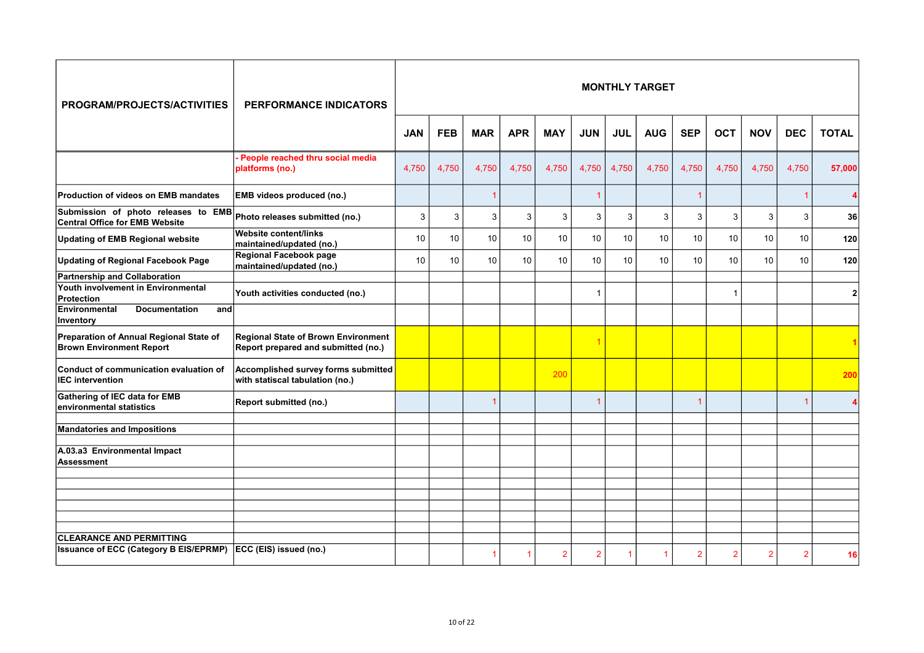| PROGRAM/PROJECTS/ACTIVITIES                                                  | <b>PERFORMANCE INDICATORS</b>                                                     |            |            |            |            |                 |                |            | <b>MONTHLY TARGET</b> |                 |                         |                |            |                |
|------------------------------------------------------------------------------|-----------------------------------------------------------------------------------|------------|------------|------------|------------|-----------------|----------------|------------|-----------------------|-----------------|-------------------------|----------------|------------|----------------|
|                                                                              |                                                                                   | <b>JAN</b> | <b>FEB</b> | <b>MAR</b> | <b>APR</b> | <b>MAY</b>      | <b>JUN</b>     | <b>JUL</b> | <b>AUG</b>            | <b>SEP</b>      | <b>OCT</b>              | <b>NOV</b>     | <b>DEC</b> | <b>TOTAL</b>   |
|                                                                              | People reached thru social media<br>platforms (no.)                               | 4,750      | 4,750      | 4,750      | 4,750      | 4,750           | 4,750          | 4,750      | 4,750                 | 4,750           | 4,750                   | 4,750          | 4,750      | 57,000         |
| Production of videos on EMB mandates                                         | EMB videos produced (no.)                                                         |            |            |            |            |                 | $\overline{1}$ |            |                       |                 |                         |                |            |                |
| Submission of photo releases to EMB<br><b>Central Office for EMB Website</b> | Photo releases submitted (no.)                                                    | 3          | 3          | 3          | 3          | 3               | 3              | 3          | 3                     | 3               | 3                       | 3              | 3          | 36             |
| <b>Updating of EMB Regional website</b>                                      | Website content/links<br>maintained/updated (no.)                                 | 10         | 10         | 10         | 10         | 10              | 10             | 10         | 10                    | 10              | $10$                    | 10             | 10         | 120            |
| <b>Updating of Regional Facebook Page</b>                                    | Regional Facebook page<br>maintained/updated (no.)                                | 10         | 10         | 10         | 10         | 10 <sup>1</sup> | 10             | 10         | 10                    | 10 <sup>1</sup> | 10                      | 10             | 10         | 120            |
| <b>Partnership and Collaboration</b>                                         |                                                                                   |            |            |            |            |                 |                |            |                       |                 |                         |                |            |                |
| <b>Youth involvement in Environmental</b><br><b>Protection</b>               | Youth activities conducted (no.)                                                  |            |            |            |            |                 | $\overline{1}$ |            |                       |                 | $\overline{\mathbf{1}}$ |                |            | 2 <sup>1</sup> |
| Environmental<br><b>Documentation</b><br>and<br>Inventory                    |                                                                                   |            |            |            |            |                 |                |            |                       |                 |                         |                |            |                |
| Preparation of Annual Regional State of<br><b>Brown Environment Report</b>   | <b>Regional State of Brown Environment</b><br>Report prepared and submitted (no.) |            |            |            |            |                 | $\overline{1}$ |            |                       |                 |                         |                |            |                |
| Conduct of communication evaluation of<br><b>IEC</b> intervention            | Accomplished survey forms submitted<br>with statiscal tabulation (no.)            |            |            |            |            | 200             |                |            |                       |                 |                         |                |            | 200            |
| Gathering of IEC data for EMB<br>environmental statistics                    | Report submitted (no.)                                                            |            |            |            |            |                 | $\overline{1}$ |            |                       |                 |                         |                |            |                |
|                                                                              |                                                                                   |            |            |            |            |                 |                |            |                       |                 |                         |                |            |                |
| <b>Mandatories and Impositions</b>                                           |                                                                                   |            |            |            |            |                 |                |            |                       |                 |                         |                |            |                |
| A.03.a3 Environmental Impact<br><b>Assessment</b>                            |                                                                                   |            |            |            |            |                 |                |            |                       |                 |                         |                |            |                |
|                                                                              |                                                                                   |            |            |            |            |                 |                |            |                       |                 |                         |                |            |                |
|                                                                              |                                                                                   |            |            |            |            |                 |                |            |                       |                 |                         |                |            |                |
|                                                                              |                                                                                   |            |            |            |            |                 |                |            |                       |                 |                         |                |            |                |
|                                                                              |                                                                                   |            |            |            |            |                 |                |            |                       |                 |                         |                |            |                |
|                                                                              |                                                                                   |            |            |            |            |                 |                |            |                       |                 |                         |                |            |                |
| <b>CLEARANCE AND PERMITTING</b>                                              |                                                                                   |            |            |            |            |                 |                |            |                       |                 |                         |                |            |                |
| Issuance of ECC (Category B EIS/EPRMP) ECC (EIS) issued (no.)                |                                                                                   |            |            |            |            |                 |                |            |                       |                 |                         |                |            |                |
|                                                                              |                                                                                   |            |            |            |            | $\overline{2}$  | $\overline{2}$ |            |                       | $\overline{2}$  | 2                       | $\overline{2}$ | 2          | 16I            |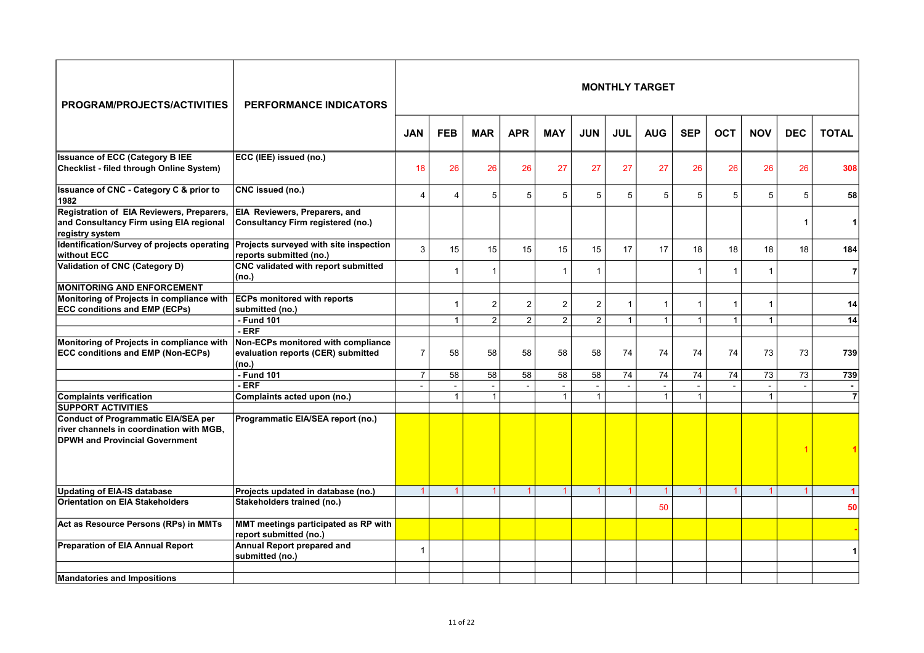| PROGRAM/PROJECTS/ACTIVITIES                                                                                              | <b>PERFORMANCE INDICATORS</b>                                                     |                |                |                |                |                 |                         |                | <b>MONTHLY TARGET</b> |                |                 |                |                |                |
|--------------------------------------------------------------------------------------------------------------------------|-----------------------------------------------------------------------------------|----------------|----------------|----------------|----------------|-----------------|-------------------------|----------------|-----------------------|----------------|-----------------|----------------|----------------|----------------|
|                                                                                                                          |                                                                                   | <b>JAN</b>     | <b>FEB</b>     | <b>MAR</b>     | <b>APR</b>     | <b>MAY</b>      | <b>JUN</b>              | <b>JUL</b>     | <b>AUG</b>            | <b>SEP</b>     | <b>OCT</b>      | <b>NOV</b>     | <b>DEC</b>     | <b>TOTAL</b>   |
| <b>Issuance of ECC (Category B IEE</b><br>Checklist - filed through Online System)                                       | ECC (IEE) issued (no.)                                                            | 18             | 26             | 26             | 26             | 27              | 27                      | 27             | 27                    | 26             | 26              | 26             | 26             | 308            |
| Issuance of CNC - Category C & prior to<br>1982                                                                          | CNC issued (no.)                                                                  | $\Delta$       | 4              | 5              | 5              | $5\phantom{.0}$ | 5                       | 5              | 5                     | 5              | 5               | 5              | 5              | 58             |
| Registration of EIA Reviewers, Preparers,<br>and Consultancy Firm using EIA regional<br>registry system                  | EIA Reviewers, Preparers, and<br><b>Consultancy Firm registered (no.)</b>         |                |                |                |                |                 |                         |                |                       |                |                 |                |                | 11             |
| Identification/Survey of projects operating<br>without ECC                                                               | Projects surveyed with site inspection<br>reports submitted (no.)                 | 3              | 15             | 15             | 15             | 15              | 15                      | 17             | 17                    | 18             | 18              | 18             | 18             | 184            |
| Validation of CNC (Category D)                                                                                           | CNC validated with report submitted<br>(no.)                                      |                | $\mathbf{1}$   | -1             |                | $\mathbf{1}$    | $\overline{1}$          |                |                       | $\mathbf{1}$   | 1               | $\mathbf{1}$   |                | 7              |
| <b>MONITORING AND ENFORCEMENT</b>                                                                                        |                                                                                   |                |                |                |                |                 |                         |                |                       |                |                 |                |                |                |
| Monitoring of Projects in compliance with<br><b>ECC conditions and EMP (ECPs)</b>                                        | <b>ECPs monitored with reports</b><br>submitted (no.)                             |                | $\mathbf{1}$   | 2              | $\overline{2}$ | $\overline{2}$  | $\overline{2}$          | $\overline{1}$ | $\overline{1}$        | $\mathbf{1}$   | $\overline{1}$  | $\mathbf{1}$   |                | 14             |
|                                                                                                                          | - Fund 101                                                                        |                | $\mathbf{1}$   | $\overline{2}$ | $\overline{2}$ | $\overline{2}$  | $\overline{\mathbf{c}}$ | $\mathbf{1}$   | $\mathbf{1}$          | $\mathbf{1}$   | $\mathbf{1}$    | $\mathbf{1}$   |                | 14             |
|                                                                                                                          | - ERF                                                                             |                |                |                |                |                 |                         |                |                       |                |                 |                |                |                |
| Monitoring of Projects in compliance with<br><b>ECC conditions and EMP (Non-ECPs)</b>                                    | Non-ECPs monitored with compliance<br>evaluation reports (CER) submitted<br>(no.) | $\overline{7}$ | 58             | 58             | 58             | 58              | 58                      | 74             | 74                    | 74             | 74              | 73             | 73             | 739            |
|                                                                                                                          | - Fund 101                                                                        | $\overline{7}$ | 58             | 58             | 58             | 58              | 58                      | 74             | 74                    | 74             | $\overline{74}$ | 73             | 73             | 739            |
|                                                                                                                          | - ERF                                                                             |                | $\sim$         |                | $\overline{a}$ |                 |                         |                |                       |                |                 |                | $\overline{a}$ |                |
| Complaints verification                                                                                                  | Complaints acted upon (no.)                                                       |                | 1              | $\mathbf{1}$   |                | $\mathbf{1}$    | $\mathbf{1}$            |                | $\mathbf{1}$          | $\mathbf{1}$   |                 | $\mathbf{1}$   |                | $\overline{7}$ |
| <b>SUPPORT ACTIVITIES</b>                                                                                                |                                                                                   |                |                |                |                |                 |                         |                |                       |                |                 |                |                |                |
| Conduct of Programmatic EIA/SEA per<br>river channels in coordination with MGB,<br><b>DPWH and Provincial Government</b> | Programmatic EIA/SEA report (no.)                                                 |                |                |                |                |                 |                         |                |                       |                |                 |                |                |                |
| <b>Updating of EIA-IS database</b>                                                                                       | Projects updated in database (no.)                                                | $\overline{1}$ | $\overline{1}$ | $\overline{1}$ | $\overline{1}$ | $\overline{1}$  | $\overline{1}$          | $\overline{1}$ | $\overline{1}$        | $\overline{1}$ | $\overline{1}$  | $\overline{1}$ |                | -1             |
| <b>Orientation on EIA Stakeholders</b>                                                                                   | Stakeholders trained (no.)                                                        |                |                |                |                |                 |                         |                | 50                    |                |                 |                |                | 50             |
| Act as Resource Persons (RPs) in MMTs                                                                                    | MMT meetings participated as RP with<br>report submitted (no.)                    |                |                |                |                |                 |                         |                |                       |                |                 |                |                |                |
| <b>Preparation of EIA Annual Report</b>                                                                                  | Annual Report prepared and<br>submitted (no.)                                     | $\overline{1}$ |                |                |                |                 |                         |                |                       |                |                 |                |                |                |
| <b>Mandatories and Impositions</b>                                                                                       |                                                                                   |                |                |                |                |                 |                         |                |                       |                |                 |                |                |                |
|                                                                                                                          |                                                                                   |                |                |                |                |                 |                         |                |                       |                |                 |                |                |                |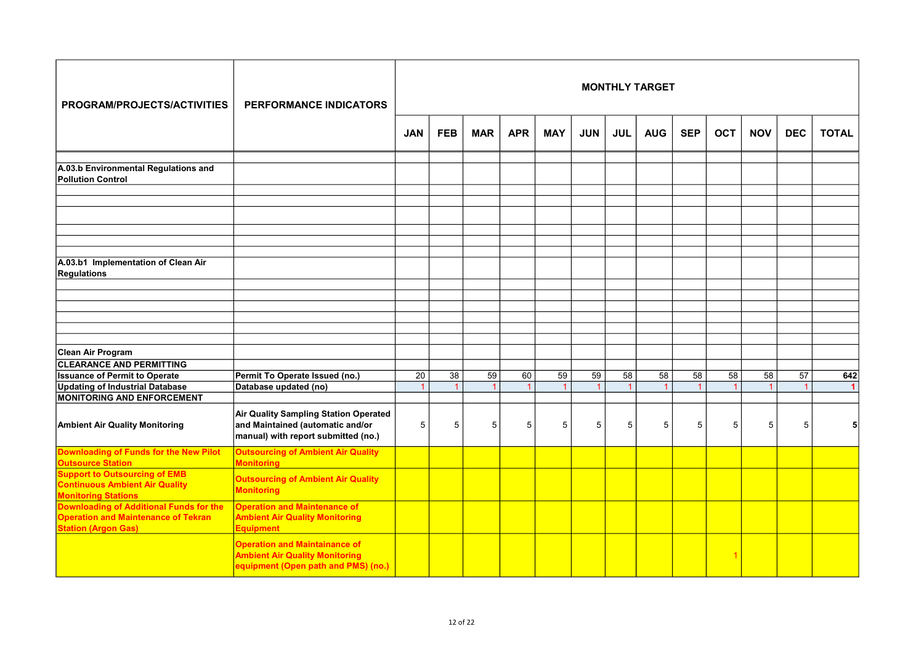| PROGRAM/PROJECTS/ACTIVITIES                                                                                                | PERFORMANCE INDICATORS                                                                                                  |            |            |            |            |                            |                      |                 | <b>MONTHLY TARGET</b> |                 |                                   |            |            |                             |
|----------------------------------------------------------------------------------------------------------------------------|-------------------------------------------------------------------------------------------------------------------------|------------|------------|------------|------------|----------------------------|----------------------|-----------------|-----------------------|-----------------|-----------------------------------|------------|------------|-----------------------------|
|                                                                                                                            |                                                                                                                         | <b>JAN</b> | <b>FEB</b> | <b>MAR</b> | <b>APR</b> | <b>MAY</b>                 | <b>JUN</b>           | <b>JUL</b>      | <b>AUG</b>            | <b>SEP</b>      | <b>OCT</b>                        | <b>NOV</b> | <b>DEC</b> | <b>TOTAL</b>                |
| A.03.b Environmental Regulations and<br><b>Pollution Control</b>                                                           |                                                                                                                         |            |            |            |            |                            |                      |                 |                       |                 |                                   |            |            |                             |
|                                                                                                                            |                                                                                                                         |            |            |            |            |                            |                      |                 |                       |                 |                                   |            |            |                             |
|                                                                                                                            |                                                                                                                         |            |            |            |            |                            |                      |                 |                       |                 |                                   |            |            |                             |
| A.03.b1 Implementation of Clean Air<br><b>Regulations</b>                                                                  |                                                                                                                         |            |            |            |            |                            |                      |                 |                       |                 |                                   |            |            |                             |
|                                                                                                                            |                                                                                                                         |            |            |            |            |                            |                      |                 |                       |                 |                                   |            |            |                             |
| Clean Air Program<br><b>CLEARANCE AND PERMITTING</b>                                                                       |                                                                                                                         |            |            |            |            |                            |                      |                 |                       |                 |                                   |            |            |                             |
| <b>Issuance of Permit to Operate</b><br><b>Updating of Industrial Database</b>                                             | Permit To Operate Issued (no.)<br>Database updated (no)                                                                 | 20         | 38         | 59         | 60<br>1    | 59<br>$\blacktriangleleft$ | 59<br>$\overline{1}$ | $\overline{58}$ | 58<br>1               | $\overline{58}$ | $\overline{58}$<br>$\overline{1}$ | 58<br>1    | 57         | 642<br>$\blacktriangleleft$ |
| <b>MONITORING AND ENFORCEMENT</b>                                                                                          |                                                                                                                         |            |            |            |            |                            |                      |                 |                       |                 |                                   |            |            |                             |
| <b>Ambient Air Quality Monitoring</b>                                                                                      | <b>Air Quality Sampling Station Operated</b><br>and Maintained (automatic and/or<br>manual) with report submitted (no.) | $\sqrt{5}$ | 5          | 5          | 5          | 5                          | 5                    | 5               | 5                     | 5               | 5                                 | 5          | 5          |                             |
| <b>Downloading of Funds for the New Pilot</b><br><b>Outsource Station</b>                                                  | <b>Outsourcing of Ambient Air Quality</b><br><b>Monitoring</b>                                                          |            |            |            |            |                            |                      |                 |                       |                 |                                   |            |            |                             |
| <b>Support to Outsourcing of EMB</b><br><b>Continuous Ambient Air Quality</b><br><b>Monitoring Stations</b>                | <b>Outsourcing of Ambient Air Quality</b><br><b>Monitoring</b>                                                          |            |            |            |            |                            |                      |                 |                       |                 |                                   |            |            |                             |
| <b>Downloading of Additional Funds for the</b><br><b>Operation and Maintenance of Tekran</b><br><b>Station (Argon Gas)</b> | <b>Operation and Maintenance of</b><br><b>Ambient Air Quality Monitoring</b><br><b>Equipment</b>                        |            |            |            |            |                            |                      |                 |                       |                 |                                   |            |            |                             |
|                                                                                                                            | <b>Operation and Maintainance of</b><br><b>Ambient Air Quality Monitoring</b><br>equipment (Open path and PMS) (no.)    |            |            |            |            |                            |                      |                 |                       |                 |                                   |            |            |                             |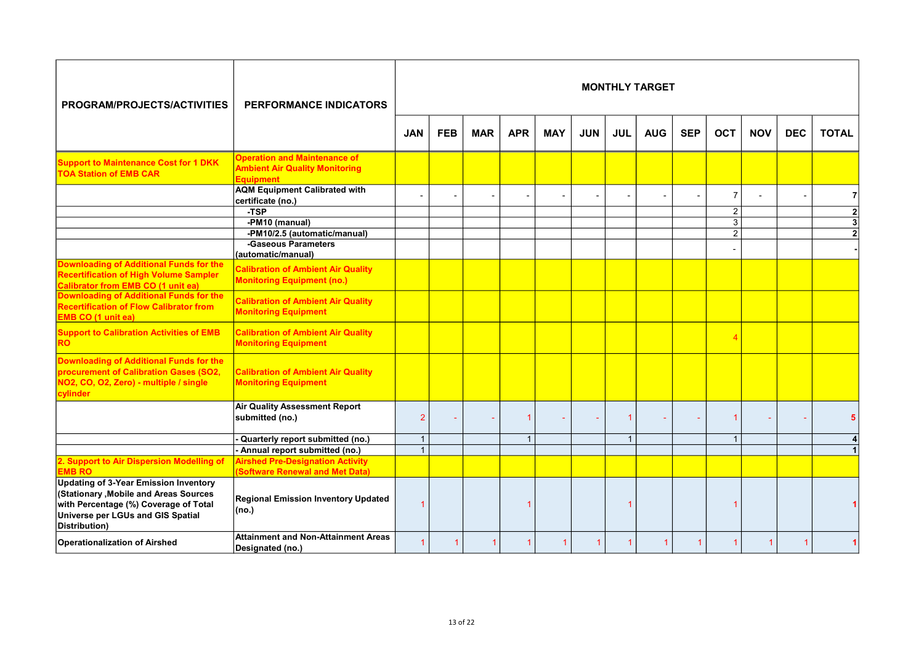| PROGRAM/PROJECTS/ACTIVITIES                                                                                                                                                           | PERFORMANCE INDICATORS                                                                           |                |            |            |              |            |            |              | <b>MONTHLY TARGET</b> |            |                                  |            |            |                                |
|---------------------------------------------------------------------------------------------------------------------------------------------------------------------------------------|--------------------------------------------------------------------------------------------------|----------------|------------|------------|--------------|------------|------------|--------------|-----------------------|------------|----------------------------------|------------|------------|--------------------------------|
|                                                                                                                                                                                       |                                                                                                  | <b>JAN</b>     | <b>FEB</b> | <b>MAR</b> | <b>APR</b>   | <b>MAY</b> | <b>JUN</b> | <b>JUL</b>   | <b>AUG</b>            | <b>SEP</b> | <b>OCT</b>                       | <b>NOV</b> | <b>DEC</b> | <b>TOTAL</b>                   |
| <b>Support to Maintenance Cost for 1 DKK</b><br><b>TOA Station of EMB CAR</b>                                                                                                         | <b>Operation and Maintenance of</b><br><b>Ambient Air Quality Monitoring</b><br><b>Equipment</b> |                |            |            |              |            |            |              |                       |            |                                  |            |            |                                |
|                                                                                                                                                                                       | <b>AQM Equipment Calibrated with</b><br>certificate (no.)                                        |                |            |            |              |            |            |              |                       |            | $\overline{7}$                   |            |            | 71                             |
|                                                                                                                                                                                       | -TSP<br>-PM10 (manual)                                                                           |                |            |            |              |            |            |              |                       |            | $\overline{2}$<br>$\overline{3}$ |            |            | 2 <sup>1</sup><br>$\mathbf{3}$ |
|                                                                                                                                                                                       | -PM10/2.5 (automatic/manual)<br>-Gaseous Parameters<br>(automatic/manual)                        |                |            |            |              |            |            |              |                       |            | $\overline{2}$                   |            |            |                                |
| <b>Downloading of Additional Funds for the</b><br><b>Recertification of High Volume Sampler</b><br><b>Calibrator from EMB CO (1 unit ea)</b>                                          | <b>Calibration of Ambient Air Quality</b><br><b>Monitoring Equipment (no.)</b>                   |                |            |            |              |            |            |              |                       |            |                                  |            |            |                                |
| Downloading of Additional Funds for the<br><b>Recertification of Flow Calibrator from</b><br>EMB CO (1 unit ea)                                                                       | <b>Calibration of Ambient Air Quality</b><br><b>Monitoring Equipment</b>                         |                |            |            |              |            |            |              |                       |            |                                  |            |            |                                |
| <b>Support to Calibration Activities of EMB</b><br>RO                                                                                                                                 | <b>Calibration of Ambient Air Quality</b><br><b>Monitoring Equipment</b>                         |                |            |            |              |            |            |              |                       |            |                                  |            |            |                                |
| Downloading of Additional Funds for the<br>procurement of Calibration Gases (SO2,<br>NO2, CO, O2, Zero) - multiple / single<br>cylinder                                               | <b>Calibration of Ambient Air Quality</b><br><b>Monitoring Equipment</b>                         |                |            |            |              |            |            |              |                       |            |                                  |            |            |                                |
|                                                                                                                                                                                       | <b>Air Quality Assessment Report</b><br>submitted (no.)                                          | $\overline{2}$ |            |            |              |            |            |              |                       |            | 1                                |            |            |                                |
|                                                                                                                                                                                       | Quarterly report submitted (no.)                                                                 | $\overline{1}$ |            |            | $\mathbf{1}$ |            |            | $\mathbf{1}$ |                       |            | $\overline{1}$                   |            |            |                                |
|                                                                                                                                                                                       | - Annual report submitted (no.)                                                                  | $\mathbf{1}$   |            |            |              |            |            |              |                       |            |                                  |            |            |                                |
| 2. Support to Air Dispersion Modelling of<br><b>EMB RO</b>                                                                                                                            | <b>Airshed Pre-Designation Activity</b><br>(Software Renewal and Met Data)                       |                |            |            |              |            |            |              |                       |            |                                  |            |            |                                |
| <b>Updating of 3-Year Emission Inventory</b><br>(Stationary , Mobile and Areas Sources<br>with Percentage (%) Coverage of Total<br>Universe per LGUs and GIS Spatial<br>Distribution) | <b>Regional Emission Inventory Updated</b><br>(no.)                                              | 1              |            |            |              |            |            | 1            |                       |            | 1                                |            |            |                                |
| <b>Operationalization of Airshed</b>                                                                                                                                                  | <b>Attainment and Non-Attainment Areas</b><br>Designated (no.)                                   | 1              |            |            |              |            | 1          |              |                       |            | 1                                | 1          |            |                                |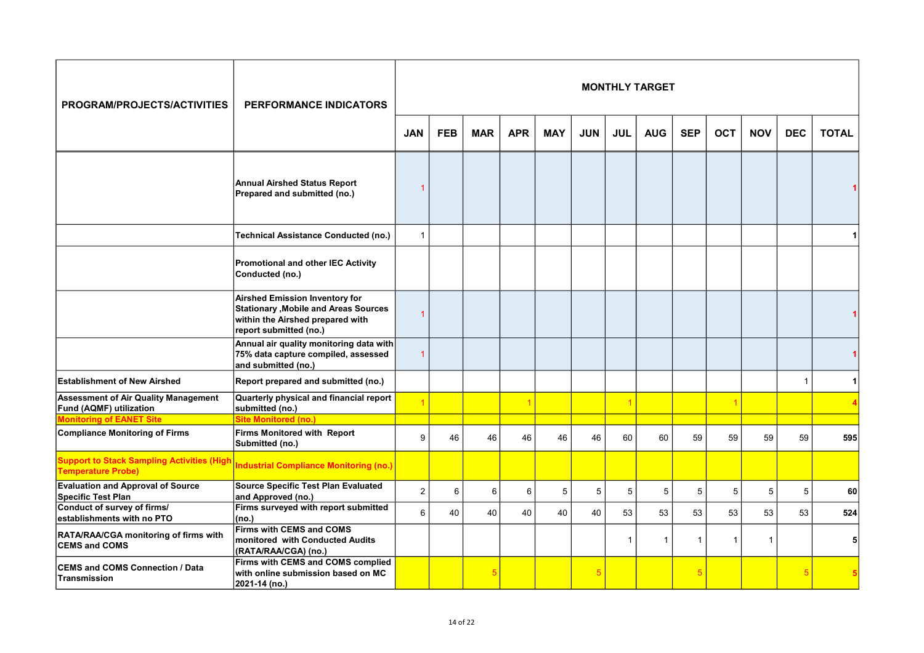| PROGRAM/PROJECTS/ACTIVITIES                                                    | PERFORMANCE INDICATORS                                                                                                                              |                |            |            |            |            |            |                | <b>MONTHLY TARGET</b> |              |                |              |            |              |
|--------------------------------------------------------------------------------|-----------------------------------------------------------------------------------------------------------------------------------------------------|----------------|------------|------------|------------|------------|------------|----------------|-----------------------|--------------|----------------|--------------|------------|--------------|
|                                                                                |                                                                                                                                                     | <b>JAN</b>     | <b>FEB</b> | <b>MAR</b> | <b>APR</b> | <b>MAY</b> | <b>JUN</b> | <b>JUL</b>     | <b>AUG</b>            | <b>SEP</b>   | <b>OCT</b>     | <b>NOV</b>   | <b>DEC</b> | <b>TOTAL</b> |
|                                                                                | <b>Annual Airshed Status Report</b><br>Prepared and submitted (no.)                                                                                 | 1              |            |            |            |            |            |                |                       |              |                |              |            |              |
|                                                                                | Technical Assistance Conducted (no.)                                                                                                                | $\mathbf{1}$   |            |            |            |            |            |                |                       |              |                |              |            |              |
|                                                                                | <b>Promotional and other IEC Activity</b><br>Conducted (no.)                                                                                        |                |            |            |            |            |            |                |                       |              |                |              |            |              |
|                                                                                | <b>Airshed Emission Inventory for</b><br><b>Stationary , Mobile and Areas Sources</b><br>within the Airshed prepared with<br>report submitted (no.) | $\overline{1}$ |            |            |            |            |            |                |                       |              |                |              |            |              |
|                                                                                | Annual air quality monitoring data with<br>75% data capture compiled, assessed<br>and submitted (no.)                                               | $\overline{1}$ |            |            |            |            |            |                |                       |              |                |              |            |              |
| <b>Establishment of New Airshed</b>                                            | Report prepared and submitted (no.)                                                                                                                 |                |            |            |            |            |            |                |                       |              |                |              | 1          | 1            |
| <b>Assessment of Air Quality Management</b><br><b>Fund (AQMF) utilization</b>  | Quarterly physical and financial report<br>submitted (no.)                                                                                          |                |            |            |            |            |            | $\overline{1}$ |                       |              |                |              |            |              |
| <b>Monitoring of EANET Site</b><br><b>Compliance Monitoring of Firms</b>       | Site Monitored (no.)<br><b>Firms Monitored with Report</b><br>Submitted (no.)                                                                       | 9              | 46         | 46         | 46         | 46         | 46         | 60             | 60                    | 59           | 59             | 59           | 59         | 595          |
| <b>Support to Stack Sampling Activities (High</b><br><b>Temperature Probe)</b> | <b>Industrial Compliance Monitoring (no.)</b>                                                                                                       |                |            |            |            |            |            |                |                       |              |                |              |            |              |
| <b>Evaluation and Approval of Source</b><br>Specific Test Plan                 | <b>Source Specific Test Plan Evaluated</b><br>and Approved (no.)                                                                                    | $\overline{2}$ | 6          | 6          | 6          | 5          | 5          | 5              | 5                     | 5            | 5              | 5            | 5          | 60           |
| Conduct of survey of firms/<br>establishments with no PTO                      | Firms surveyed with report submitted<br>(no.)                                                                                                       | 6              | 40         | 40         | 40         | 40         | 40         | 53             | 53                    | 53           | 53             | 53           | 53         | 524          |
| RATA/RAA/CGA monitoring of firms with<br><b>CEMS and COMS</b>                  | Firms with CEMS and COMS<br>monitored with Conducted Audits<br>(RATA/RAA/CGA) (no.)                                                                 |                |            |            |            |            |            | $\mathbf{1}$   | $\overline{1}$        | $\mathbf{1}$ | $\overline{1}$ | $\mathbf{1}$ |            | 5            |
| <b>CEMS and COMS Connection / Data</b><br>Transmission                         | Firms with CEMS and COMS complied<br>with online submission based on MC<br>2021-14 (no.)                                                            |                |            |            |            |            | 5          |                |                       | 5            |                |              | 5          |              |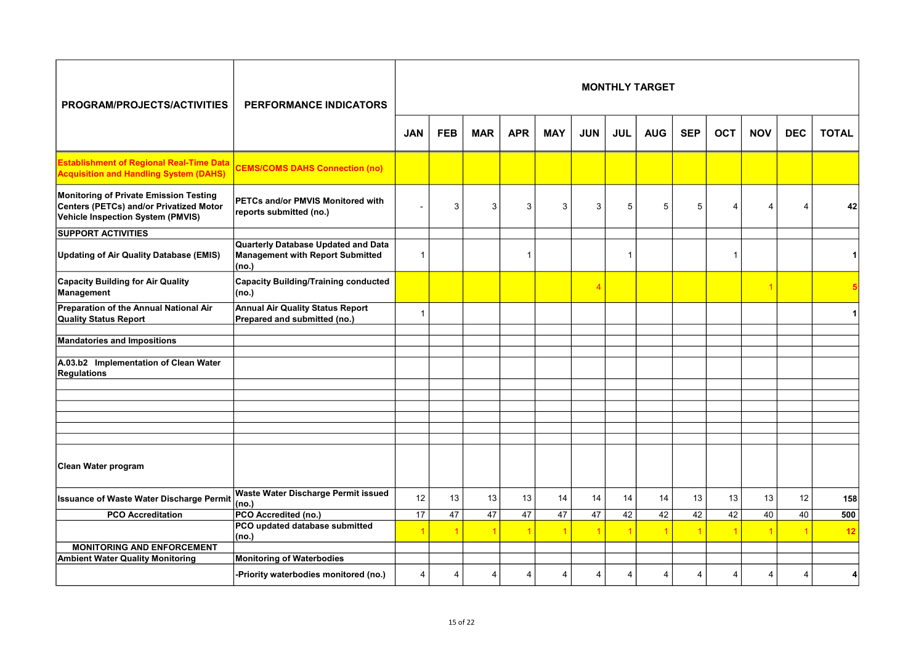| PROGRAM/PROJECTS/ACTIVITIES                                                                                            | PERFORMANCE INDICATORS                                                                         |                |            |            |                |            |                |            | <b>MONTHLY TARGET</b> |            |                |                |                       |              |
|------------------------------------------------------------------------------------------------------------------------|------------------------------------------------------------------------------------------------|----------------|------------|------------|----------------|------------|----------------|------------|-----------------------|------------|----------------|----------------|-----------------------|--------------|
|                                                                                                                        |                                                                                                | <b>JAN</b>     | <b>FEB</b> | <b>MAR</b> | <b>APR</b>     | <b>MAY</b> | <b>JUN</b>     | <b>JUL</b> | <b>AUG</b>            | <b>SEP</b> | <b>OCT</b>     | <b>NOV</b>     | <b>DEC</b>            | <b>TOTAL</b> |
| <b>Establishment of Regional Real-Time Data</b><br><b>Acquisition and Handling System (DAHS)</b>                       | <b>CEMS/COMS DAHS Connection (no)</b>                                                          |                |            |            |                |            |                |            |                       |            |                |                |                       |              |
| Monitoring of Private Emission Testing<br>Centers (PETCs) and/or Privatized Motor<br>Vehicle Inspection System (PMVIS) | PETCs and/or PMVIS Monitored with<br>reports submitted (no.)                                   |                | 3          | 3          | 3              | 3          | 3              | 5          | 5                     | 5          | Δ              | $\overline{4}$ | Δ                     | 42           |
| <b>SUPPORT ACTIVITIES</b>                                                                                              |                                                                                                |                |            |            |                |            |                |            |                       |            |                |                |                       |              |
| <b>Updating of Air Quality Database (EMIS)</b>                                                                         | <b>Quarterly Database Updated and Data</b><br><b>Management with Report Submitted</b><br>(no.) | $\overline{1}$ |            |            | $\mathbf{1}$   |            |                | 1          |                       |            | $\overline{1}$ |                |                       |              |
| <b>Capacity Building for Air Quality</b><br>Management                                                                 | <b>Capacity Building/Training conducted</b><br>(no.)                                           |                |            |            |                |            | $\overline{4}$ |            |                       |            |                |                |                       |              |
| Preparation of the Annual National Air<br><b>Quality Status Report</b>                                                 | <b>Annual Air Quality Status Report</b><br>Prepared and submitted (no.)                        | -1             |            |            |                |            |                |            |                       |            |                |                |                       |              |
| <b>Mandatories and Impositions</b>                                                                                     |                                                                                                |                |            |            |                |            |                |            |                       |            |                |                |                       |              |
|                                                                                                                        |                                                                                                |                |            |            |                |            |                |            |                       |            |                |                |                       |              |
| A.03.b2 Implementation of Clean Water<br><b>Regulations</b>                                                            |                                                                                                |                |            |            |                |            |                |            |                       |            |                |                |                       |              |
|                                                                                                                        |                                                                                                |                |            |            |                |            |                |            |                       |            |                |                |                       |              |
|                                                                                                                        |                                                                                                |                |            |            |                |            |                |            |                       |            |                |                |                       |              |
|                                                                                                                        |                                                                                                |                |            |            |                |            |                |            |                       |            |                |                |                       |              |
|                                                                                                                        |                                                                                                |                |            |            |                |            |                |            |                       |            |                |                |                       |              |
|                                                                                                                        |                                                                                                |                |            |            |                |            |                |            |                       |            |                |                |                       |              |
| Clean Water program                                                                                                    |                                                                                                |                |            |            |                |            |                |            |                       |            |                |                |                       |              |
| <b>Issuance of Waste Water Discharge Permit</b>                                                                        | Waste Water Discharge Permit issued<br>(no.)                                                   | 12             | 13         | 13         | 13             | 14         | 14             | 14         | 14                    | 13         | 13             | 13             | 12                    | 158          |
| <b>PCO Accreditation</b>                                                                                               | PCO Accredited (no.)                                                                           | 17             | 47         | 47         | 47             | 47         | 47             | 42         | 42                    | 42         | 42             | 40             | 40                    | 500          |
|                                                                                                                        | PCO updated database submitted<br>(no.)                                                        |                |            |            |                |            | $\overline{1}$ |            |                       |            |                |                |                       | 12           |
| <b>MONITORING AND ENFORCEMENT</b>                                                                                      |                                                                                                |                |            |            |                |            |                |            |                       |            |                |                |                       |              |
| <b>Ambient Water Quality Monitoring</b>                                                                                | <b>Monitoring of Waterbodies</b>                                                               |                |            |            |                |            |                |            |                       |            |                |                |                       |              |
|                                                                                                                        | -Priority waterbodies monitored (no.)                                                          | $\overline{4}$ | 4          |            | $\overline{4}$ | 4          | $\overline{4}$ | 4          | 4                     | 4          | 4              | 4              | $\boldsymbol{\Delta}$ |              |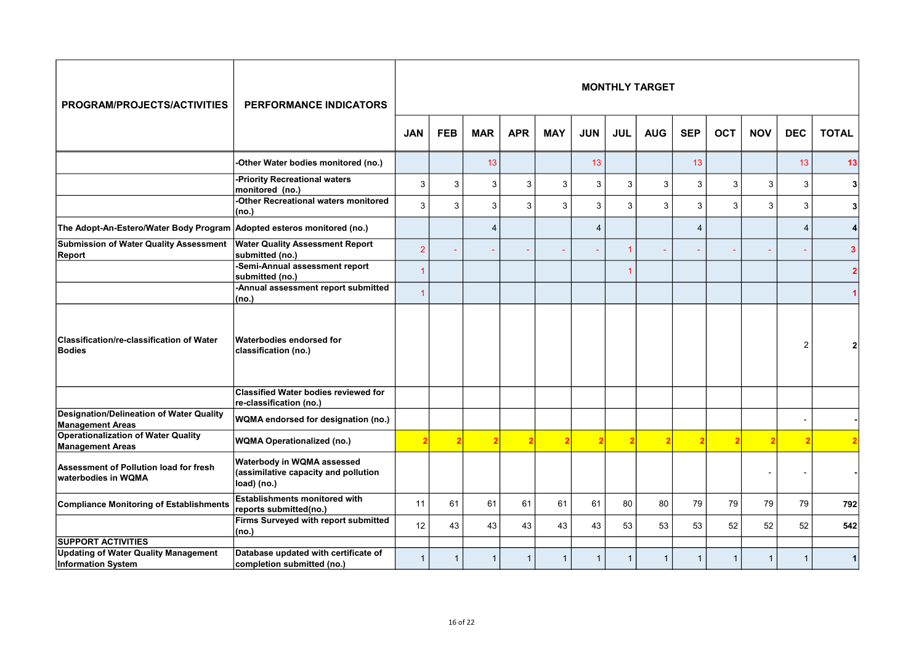| PROGRAM/PROJECTS/ACTIVITIES                                                | <b>PERFORMANCE INDICATORS</b>                                                     |                |              |                |             |              |                |                | <b>MONTHLY TARGET</b> |                |             |              |                |              |
|----------------------------------------------------------------------------|-----------------------------------------------------------------------------------|----------------|--------------|----------------|-------------|--------------|----------------|----------------|-----------------------|----------------|-------------|--------------|----------------|--------------|
|                                                                            |                                                                                   | <b>JAN</b>     | <b>FEB</b>   | <b>MAR</b>     | <b>APR</b>  | <b>MAY</b>   | <b>JUN</b>     | <b>JUL</b>     | <b>AUG</b>            | <b>SEP</b>     | <b>OCT</b>  | <b>NOV</b>   | <b>DEC</b>     | <b>TOTAL</b> |
|                                                                            | -Other Water bodies monitored (no.)                                               |                |              | 13             |             |              | 13             |                |                       | 13             |             |              | 13             | 13           |
|                                                                            | -Priority Recreational waters<br>monitored (no.)                                  | 3              | 3            | 3              | 3           | 3            | 3              | 3              | 3                     | 3              | 3           | 3            | 3              | 31           |
|                                                                            | -Other Recreational waters monitored<br>(no.)                                     | 3              | 3            | 3              | 3           | 3            | 3              | 3              | 3                     | 3              | 3           | 3            | 3              | 3            |
| The Adopt-An-Estero/Water Body Program Adopted esteros monitored (no.)     |                                                                                   |                |              | $\overline{4}$ |             |              | $\overline{4}$ |                |                       | $\overline{4}$ |             |              | $\overline{4}$ | $\vert$      |
| <b>Submission of Water Quality Assessment</b><br>Report                    | <b>Water Quality Assessment Report</b><br>submitted (no.)                         | $\overline{2}$ |              |                |             |              |                |                |                       |                |             |              |                | 3            |
|                                                                            | -Semi-Annual assessment report<br>submitted (no.)                                 | $\overline{1}$ |              |                |             |              |                |                |                       |                |             |              |                |              |
|                                                                            | -Annual assessment report submitted<br>(no.)                                      | 1              |              |                |             |              |                |                |                       |                |             |              |                |              |
| <b>Classification/re-classification of Water</b><br>Bodies                 | Waterbodies endorsed for<br>classification (no.)                                  |                |              |                |             |              |                |                |                       |                |             |              | $\overline{2}$ |              |
|                                                                            | <b>Classified Water bodies reviewed for</b><br>re-classification (no.)            |                |              |                |             |              |                |                |                       |                |             |              |                |              |
| <b>Designation/Delineation of Water Quality</b><br><b>Management Areas</b> | WQMA endorsed for designation (no.)                                               |                |              |                |             |              |                |                |                       |                |             |              |                |              |
| <b>Operationalization of Water Quality</b><br><b>Management Areas</b>      | <b>WQMA Operationalized (no.)</b>                                                 |                |              |                |             | 2            |                | $\overline{2}$ |                       |                |             |              |                |              |
| Assessment of Pollution load for fresh<br>waterbodies in WQMA              | Waterbody in WQMA assessed<br>(assimilative capacity and pollution<br>load) (no.) |                |              |                |             |              |                |                |                       |                |             |              |                |              |
| Compliance Monitoring of Establishments                                    | <b>Establishments monitored with</b><br>reports submitted(no.)                    | 11             | 61           | 61             | 61          | 61           | 61             | 80             | 80                    | 79             | 79          | 79           | 79             | 792          |
|                                                                            | Firms Surveyed with report submitted<br>(no.)                                     | 12             | 43           | 43             | 43          | 43           | 43             | 53             | 53                    | 53             | 52          | 52           | 52             | 542          |
| <b>SUPPORT ACTIVITIES</b>                                                  |                                                                                   |                |              |                |             |              |                |                |                       |                |             |              |                |              |
| <b>Updating of Water Quality Management</b><br><b>Information System</b>   | Database updated with certificate of<br>completion submitted (no.)                | $\mathbf{1}$   | $\mathbf{1}$ |                | $\mathbf 1$ | $\mathbf{1}$ | $\mathbf{1}$   | 1              | 1                     |                | $\mathbf 1$ | $\mathbf{1}$ |                |              |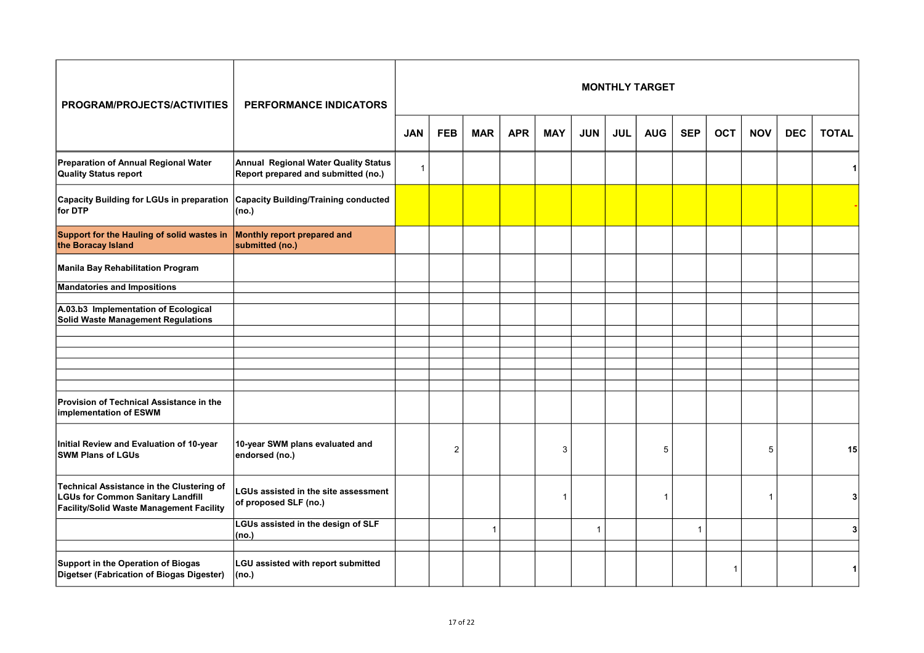| PROGRAM/PROJECTS/ACTIVITIES                                                                                                       | <b>PERFORMANCE INDICATORS</b>                                                      |                |            |                |            |             |                |            | <b>MONTHLY TARGET</b> |                |            |            |            |              |
|-----------------------------------------------------------------------------------------------------------------------------------|------------------------------------------------------------------------------------|----------------|------------|----------------|------------|-------------|----------------|------------|-----------------------|----------------|------------|------------|------------|--------------|
|                                                                                                                                   |                                                                                    | <b>JAN</b>     | <b>FEB</b> | <b>MAR</b>     | <b>APR</b> | <b>MAY</b>  | <b>JUN</b>     | <b>JUL</b> | <b>AUG</b>            | <b>SEP</b>     | <b>OCT</b> | <b>NOV</b> | <b>DEC</b> | <b>TOTAL</b> |
| Preparation of Annual Regional Water<br><b>Quality Status report</b>                                                              | <b>Annual Regional Water Quality Status</b><br>Report prepared and submitted (no.) | $\overline{1}$ |            |                |            |             |                |            |                       |                |            |            |            |              |
| Capacity Building for LGUs in preparation<br>for DTP                                                                              | <b>Capacity Building/Training conducted</b><br>(no.)                               |                |            |                |            |             |                |            |                       |                |            |            |            |              |
| Support for the Hauling of solid wastes in<br>the Boracay Island                                                                  | Monthly report prepared and<br>submitted (no.)                                     |                |            |                |            |             |                |            |                       |                |            |            |            |              |
| Manila Bay Rehabilitation Program                                                                                                 |                                                                                    |                |            |                |            |             |                |            |                       |                |            |            |            |              |
| <b>Mandatories and Impositions</b>                                                                                                |                                                                                    |                |            |                |            |             |                |            |                       |                |            |            |            |              |
| A.03.b3 Implementation of Ecological<br>Solid Waste Management Regulations                                                        |                                                                                    |                |            |                |            |             |                |            |                       |                |            |            |            |              |
|                                                                                                                                   |                                                                                    |                |            |                |            |             |                |            |                       |                |            |            |            |              |
|                                                                                                                                   |                                                                                    |                |            |                |            |             |                |            |                       |                |            |            |            |              |
|                                                                                                                                   |                                                                                    |                |            |                |            |             |                |            |                       |                |            |            |            |              |
| Provision of Technical Assistance in the<br>implementation of ESWM                                                                |                                                                                    |                |            |                |            |             |                |            |                       |                |            |            |            |              |
| Initial Review and Evaluation of 10-year<br><b>SWM Plans of LGUs</b>                                                              | 10-year SWM plans evaluated and<br>endorsed (no.)                                  |                | 2          |                |            | 3           |                |            | 5                     |                |            | 5          |            | 15           |
| Technical Assistance in the Clustering of<br><b>LGUs for Common Sanitary Landfill</b><br>Facility/Solid Waste Management Facility | LGUs assisted in the site assessment<br>of proposed SLF (no.)                      |                |            |                |            | $\mathbf 1$ |                |            | -1                    |                |            | 1          |            |              |
|                                                                                                                                   | LGUs assisted in the design of SLF<br>(no.)                                        |                |            | $\overline{1}$ |            |             | $\overline{1}$ |            |                       | $\overline{1}$ |            |            |            | 31           |
| Support in the Operation of Biogas<br>Digetser (Fabrication of Biogas Digester)                                                   | LGU assisted with report submitted<br>(no.)                                        |                |            |                |            |             |                |            |                       |                | 1          |            |            | 1            |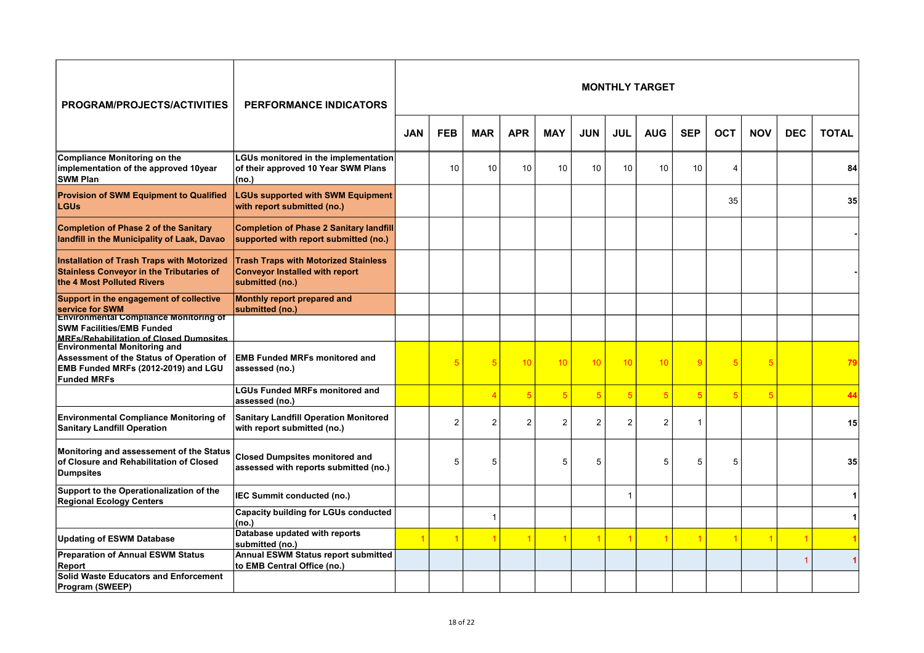| <b>PROGRAM/PROJECTS/ACTIVITIES</b>                                                                                                                     | <b>PERFORMANCE INDICATORS</b>                                                                           |            |                |                |                |                |                |                | <b>MONTHLY TARGET</b> |                 |            |            |            |              |
|--------------------------------------------------------------------------------------------------------------------------------------------------------|---------------------------------------------------------------------------------------------------------|------------|----------------|----------------|----------------|----------------|----------------|----------------|-----------------------|-----------------|------------|------------|------------|--------------|
|                                                                                                                                                        |                                                                                                         | <b>JAN</b> | <b>FEB</b>     | <b>MAR</b>     | <b>APR</b>     | <b>MAY</b>     | <b>JUN</b>     | <b>JUL</b>     | <b>AUG</b>            | <b>SEP</b>      | <b>OCT</b> | <b>NOV</b> | <b>DEC</b> | <b>TOTAL</b> |
| Compliance Monitoring on the<br>implementation of the approved 10year<br><b>SWM Plan</b>                                                               | <b>LGUs monitored in the implementation</b><br>of their approved 10 Year SWM Plans<br>(no.)             |            | 10             | 10             | 10             | 10             | 10             | 10             | 10                    | 10              | 4          |            |            | 84           |
| <b>Provision of SWM Equipment to Qualified</b><br><b>LGUs</b>                                                                                          | <b>LGUs supported with SWM Equipment</b><br>with report submitted (no.)                                 |            |                |                |                |                |                |                |                       |                 | 35         |            |            | 35           |
| <b>Completion of Phase 2 of the Sanitary</b><br>landfill in the Municipality of Laak, Davao                                                            | <b>Completion of Phase 2 Sanitary landfill</b><br>supported with report submitted (no.)                 |            |                |                |                |                |                |                |                       |                 |            |            |            |              |
| <b>Installation of Trash Traps with Motorized</b><br><b>Stainless Conveyor in the Tributaries of</b><br>the 4 Most Polluted Rivers                     | <b>Trash Traps with Motorized Stainless</b><br><b>Conveyor Installed with report</b><br>submitted (no.) |            |                |                |                |                |                |                |                       |                 |            |            |            |              |
| Support in the engagement of collective                                                                                                                | Monthly report prepared and                                                                             |            |                |                |                |                |                |                |                       |                 |            |            |            |              |
| service for SWM<br><b>Environmental Compliance Monitoring of</b><br><b>SWM Facilities/EMB Funded</b><br><b>MRFs/Rehabilitation of Closed Dumnsites</b> | submitted (no.)                                                                                         |            |                |                |                |                |                |                |                       |                 |            |            |            |              |
| <b>Environmental Monitoring and</b><br>Assessment of the Status of Operation of<br>EMB Funded MRFs (2012-2019) and LGU<br><b>Funded MRFs</b>           | <b>EMB Funded MRFs monitored and</b><br>assessed (no.)                                                  |            |                |                | 10             | 10             | 10             | 10             | 10                    | 9               |            | 5          |            | 79           |
|                                                                                                                                                        | <b>LGUs Funded MRFs monitored and</b><br>assessed (no.)                                                 |            |                |                | 5              | 5              | $\overline{5}$ | $\sqrt{5}$     | 5                     | $5\overline{5}$ |            | 5          |            |              |
| <b>Environmental Compliance Monitoring of</b><br><b>Sanitary Landfill Operation</b>                                                                    | <b>Sanitary Landfill Operation Monitored</b><br>with report submitted (no.)                             |            | $\overline{2}$ | $\overline{2}$ | $\overline{2}$ | $\overline{2}$ | $\overline{2}$ | $\overline{2}$ | $\overline{2}$        | 1               |            |            |            | 15           |
| Monitoring and assessement of the Status<br>of Closure and Rehabilitation of Closed<br><b>Dumpsites</b>                                                | <b>Closed Dumpsites monitored and</b><br>assessed with reports submitted (no.)                          |            | 5              | 5              |                | 5              | 5              |                | 5                     | 5               | 5          |            |            | 35           |
| Support to the Operationalization of the<br><b>Regional Ecology Centers</b>                                                                            | IEC Summit conducted (no.)                                                                              |            |                |                |                |                |                | 1              |                       |                 |            |            |            |              |
|                                                                                                                                                        | <b>Capacity building for LGUs conducted</b><br>(no.)                                                    |            |                |                |                |                |                |                |                       |                 |            |            |            |              |
| <b>Updating of ESWM Database</b>                                                                                                                       | Database updated with reports<br>submitted (no.)                                                        |            |                |                |                |                | $\overline{1}$ | $\overline{1}$ | 1                     |                 |            |            |            |              |
| <b>Preparation of Annual ESWM Status</b><br>Report                                                                                                     | Annual ESWM Status report submitted<br>to EMB Central Office (no.)                                      |            |                |                |                |                |                |                |                       |                 |            |            |            |              |
| Solid Waste Educators and Enforcement<br>Program (SWEEP)                                                                                               |                                                                                                         |            |                |                |                |                |                |                |                       |                 |            |            |            |              |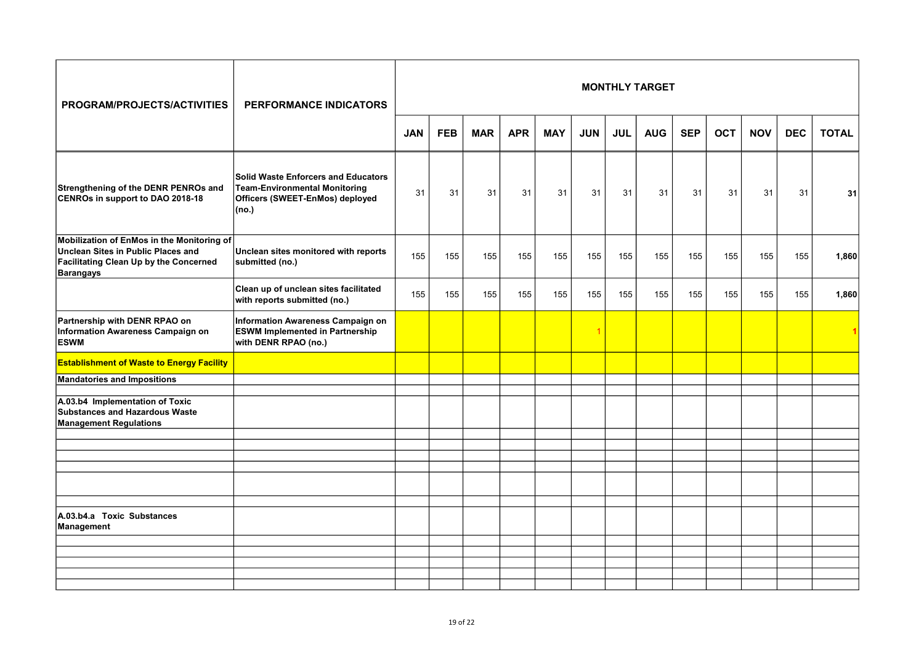| <b>PROGRAM/PROJECTS/ACTIVITIES</b>                                                                                                             | <b>PERFORMANCE INDICATORS</b>                                                                                                  |            |            |            |            |            |            |            | <b>MONTHLY TARGET</b> |            |            |            |            |              |
|------------------------------------------------------------------------------------------------------------------------------------------------|--------------------------------------------------------------------------------------------------------------------------------|------------|------------|------------|------------|------------|------------|------------|-----------------------|------------|------------|------------|------------|--------------|
|                                                                                                                                                |                                                                                                                                | <b>JAN</b> | <b>FEB</b> | <b>MAR</b> | <b>APR</b> | <b>MAY</b> | <b>JUN</b> | <b>JUL</b> | <b>AUG</b>            | <b>SEP</b> | <b>OCT</b> | <b>NOV</b> | <b>DEC</b> | <b>TOTAL</b> |
| Strengthening of the DENR PENROs and<br>CENROs in support to DAO 2018-18                                                                       | <b>Solid Waste Enforcers and Educators</b><br><b>Team-Environmental Monitoring</b><br>Officers (SWEET-EnMos) deployed<br>(no.) | 31         | 31         | 31         | 31         | 31         | 31         | 31         | 31                    | 31         | 31         | 31         | 31         | 31           |
| Mobilization of EnMos in the Monitoring of<br>Unclean Sites in Public Places and<br>Facilitating Clean Up by the Concerned<br><b>Barangays</b> | Unclean sites monitored with reports<br>submitted (no.)                                                                        | 155        | 155        | 155        | 155        | 155        | 155        | 155        | 155                   | 155        | 155        | 155        | 155        | 1,860        |
|                                                                                                                                                | Clean up of unclean sites facilitated<br>with reports submitted (no.)                                                          | 155        | 155        | 155        | 155        | 155        | 155        | 155        | 155                   | 155        | 155        | 155        | 155        | 1,860        |
| Partnership with DENR RPAO on<br>Information Awareness Campaign on<br><b>ESWM</b>                                                              | Information Awareness Campaign on<br><b>ESWM Implemented in Partnership</b><br>with DENR RPAO (no.)                            |            |            |            |            |            | 1          |            |                       |            |            |            |            |              |
| <b>Establishment of Waste to Energy Facility</b>                                                                                               |                                                                                                                                |            |            |            |            |            |            |            |                       |            |            |            |            |              |
| <b>Mandatories and Impositions</b>                                                                                                             |                                                                                                                                |            |            |            |            |            |            |            |                       |            |            |            |            |              |
| A.03.b4 Implementation of Toxic<br>Substances and Hazardous Waste<br><b>Management Regulations</b>                                             |                                                                                                                                |            |            |            |            |            |            |            |                       |            |            |            |            |              |
|                                                                                                                                                |                                                                                                                                |            |            |            |            |            |            |            |                       |            |            |            |            |              |
|                                                                                                                                                |                                                                                                                                |            |            |            |            |            |            |            |                       |            |            |            |            |              |
|                                                                                                                                                |                                                                                                                                |            |            |            |            |            |            |            |                       |            |            |            |            |              |
|                                                                                                                                                |                                                                                                                                |            |            |            |            |            |            |            |                       |            |            |            |            |              |
| A.03.b4.a Toxic Substances<br>Management                                                                                                       |                                                                                                                                |            |            |            |            |            |            |            |                       |            |            |            |            |              |
|                                                                                                                                                |                                                                                                                                |            |            |            |            |            |            |            |                       |            |            |            |            |              |
|                                                                                                                                                |                                                                                                                                |            |            |            |            |            |            |            |                       |            |            |            |            |              |
|                                                                                                                                                |                                                                                                                                |            |            |            |            |            |            |            |                       |            |            |            |            |              |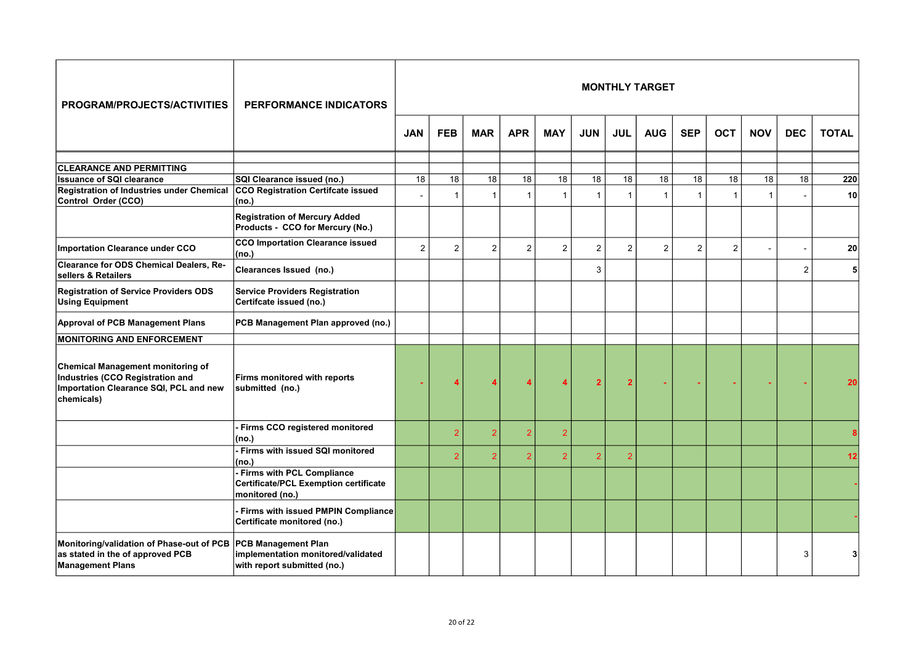| PROGRAM/PROJECTS/ACTIVITIES                                                                                                   | <b>PERFORMANCE INDICATORS</b>                                                                   |                |                |                 |                 |                |                |                | <b>MONTHLY TARGET</b> |                |                 |              |                          |                 |
|-------------------------------------------------------------------------------------------------------------------------------|-------------------------------------------------------------------------------------------------|----------------|----------------|-----------------|-----------------|----------------|----------------|----------------|-----------------------|----------------|-----------------|--------------|--------------------------|-----------------|
|                                                                                                                               |                                                                                                 | <b>JAN</b>     | <b>FEB</b>     | <b>MAR</b>      | <b>APR</b>      | <b>MAY</b>     | <b>JUN</b>     | <b>JUL</b>     | <b>AUG</b>            | <b>SEP</b>     | <b>OCT</b>      | <b>NOV</b>   | <b>DEC</b>               | <b>TOTAL</b>    |
|                                                                                                                               |                                                                                                 |                |                |                 |                 |                |                |                |                       |                |                 |              |                          |                 |
| <b>CLEARANCE AND PERMITTING</b><br><b>Issuance of SQI clearance</b>                                                           | SQI Clearance issued (no.)                                                                      | 18             | 18             | $\overline{18}$ | $\overline{18}$ | 18             | 18             | 18             | 18                    | 18             | $\overline{18}$ | 18           | 18                       | 220             |
| <b>Registration of Industries under Chemical</b><br>Control Order (CCO)                                                       | CCO Registration Certifcate issued<br>(no.)                                                     |                | $\mathbf{1}$   | $\mathbf{1}$    | $\mathbf{1}$    | $\mathbf{1}$   | $\mathbf{1}$   | $\mathbf{1}$   | $\overline{1}$        | $\mathbf{1}$   | $\overline{1}$  | $\mathbf{1}$ | $\overline{\phantom{a}}$ | 10 <sup>1</sup> |
|                                                                                                                               | <b>Registration of Mercury Added</b><br>Products - CCO for Mercury (No.)                        |                |                |                 |                 |                |                |                |                       |                |                 |              |                          |                 |
| <b>Importation Clearance under CCO</b>                                                                                        | <b>CCO Importation Clearance issued</b><br>(no.)                                                | $\overline{2}$ | $\overline{c}$ | $\overline{2}$  | $\overline{2}$  | $\overline{2}$ | $\overline{c}$ | $\overline{2}$ | $\overline{2}$        | $\overline{2}$ | $\overline{2}$  |              | $\overline{\phantom{a}}$ | <b>20</b>       |
| Clearance for ODS Chemical Dealers, Re-<br>sellers & Retailers                                                                | Clearances Issued (no.)                                                                         |                |                |                 |                 |                | 3              |                |                       |                |                 |              | $\overline{2}$           | 5               |
| <b>Registration of Service Providers ODS</b><br><b>Using Equipment</b>                                                        | <b>Service Providers Registration</b><br>Certifcate issued (no.)                                |                |                |                 |                 |                |                |                |                       |                |                 |              |                          |                 |
| <b>Approval of PCB Management Plans</b>                                                                                       | PCB Management Plan approved (no.)                                                              |                |                |                 |                 |                |                |                |                       |                |                 |              |                          |                 |
| <b>MONITORING AND ENFORCEMENT</b>                                                                                             |                                                                                                 |                |                |                 |                 |                |                |                |                       |                |                 |              |                          |                 |
| Chemical Management monitoring of<br>Industries (CCO Registration and<br>Importation Clearance SQI, PCL and new<br>chemicals) | Firms monitored with reports<br>submitted (no.)                                                 |                |                |                 |                 |                | $\overline{2}$ | $\overline{2}$ |                       |                |                 |              |                          |                 |
|                                                                                                                               | Firms CCO registered monitored<br>(no.)                                                         |                | $\mathcal{P}$  | $\overline{2}$  | $\overline{2}$  | $\overline{2}$ |                |                |                       |                |                 |              |                          |                 |
|                                                                                                                               | Firms with issued SQI monitored<br>(no.)                                                        |                | $\overline{2}$ |                 | $\overline{2}$  | $\overline{2}$ | $\overline{2}$ | $\overline{2}$ |                       |                |                 |              |                          | 12              |
|                                                                                                                               | Firms with PCL Compliance<br><b>Certificate/PCL Exemption certificate</b><br>monitored (no.)    |                |                |                 |                 |                |                |                |                       |                |                 |              |                          |                 |
|                                                                                                                               | Firms with issued PMPIN Compliance<br>Certificate monitored (no.)                               |                |                |                 |                 |                |                |                |                       |                |                 |              |                          |                 |
| Monitoring/validation of Phase-out of PCB<br>as stated in the of approved PCB<br><b>Management Plans</b>                      | <b>PCB Management Plan</b><br>implementation monitored/validated<br>with report submitted (no.) |                |                |                 |                 |                |                |                |                       |                |                 |              | 3                        |                 |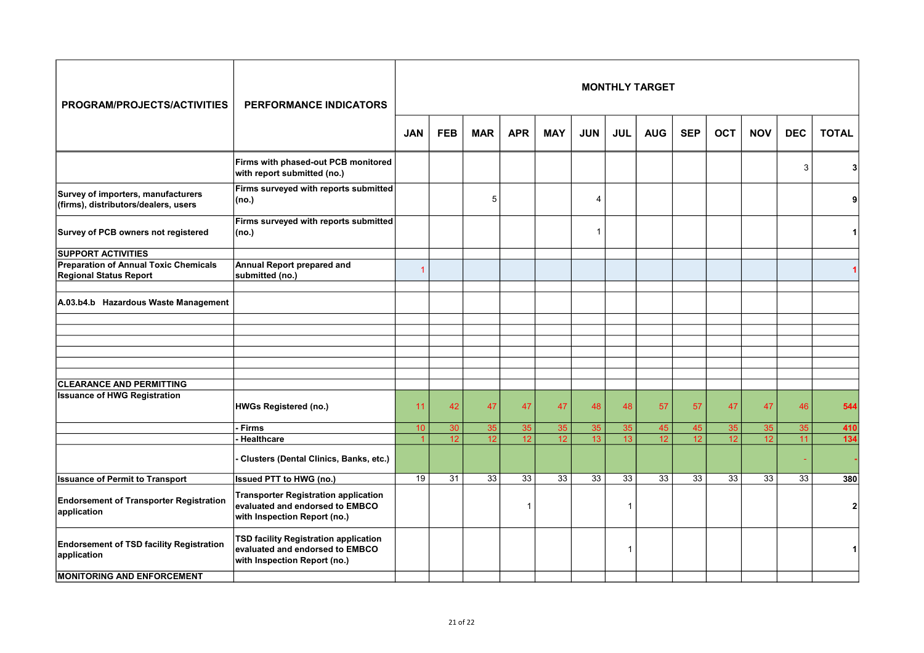| PROGRAM/PROJECTS/ACTIVITIES                                                   | PERFORMANCE INDICATORS                                                                                         |                 |                 |                 |                 |                 |                 |                 | <b>MONTHLY TARGET</b> |                 |                 |                 |            |              |
|-------------------------------------------------------------------------------|----------------------------------------------------------------------------------------------------------------|-----------------|-----------------|-----------------|-----------------|-----------------|-----------------|-----------------|-----------------------|-----------------|-----------------|-----------------|------------|--------------|
|                                                                               |                                                                                                                | <b>JAN</b>      | <b>FEB</b>      | <b>MAR</b>      | <b>APR</b>      | <b>MAY</b>      | <b>JUN</b>      | <b>JUL</b>      | <b>AUG</b>            | <b>SEP</b>      | <b>OCT</b>      | <b>NOV</b>      | <b>DEC</b> | <b>TOTAL</b> |
|                                                                               | Firms with phased-out PCB monitored<br>with report submitted (no.)                                             |                 |                 |                 |                 |                 |                 |                 |                       |                 |                 |                 | 3          | 31           |
| Survey of importers, manufacturers<br>(firms), distributors/dealers, users    | Firms surveyed with reports submitted<br>(no.)                                                                 |                 |                 | 5               |                 |                 | 4               |                 |                       |                 |                 |                 |            |              |
| Survey of PCB owners not registered                                           | Firms surveyed with reports submitted<br>(no.)                                                                 |                 |                 |                 |                 |                 | $\mathbf{1}$    |                 |                       |                 |                 |                 |            |              |
| <b>SUPPORT ACTIVITIES</b>                                                     |                                                                                                                |                 |                 |                 |                 |                 |                 |                 |                       |                 |                 |                 |            |              |
| <b>Preparation of Annual Toxic Chemicals</b><br><b>Regional Status Report</b> | Annual Report prepared and<br>submitted (no.)                                                                  | 1               |                 |                 |                 |                 |                 |                 |                       |                 |                 |                 |            |              |
| A.03.b4.b Hazardous Waste Management                                          |                                                                                                                |                 |                 |                 |                 |                 |                 |                 |                       |                 |                 |                 |            |              |
|                                                                               |                                                                                                                |                 |                 |                 |                 |                 |                 |                 |                       |                 |                 |                 |            |              |
| <b>CLEARANCE AND PERMITTING</b>                                               |                                                                                                                |                 |                 |                 |                 |                 |                 |                 |                       |                 |                 |                 |            |              |
| <b>Issuance of HWG Registration</b>                                           | <b>HWGs Registered (no.)</b>                                                                                   | 11              | 42              | 47              | 47              | 47              | 48              | 48              | 57                    | 57              | 47              | 47              | 46         | 544          |
|                                                                               | Firms                                                                                                          | 10              | 30              | 35              | 35              | 35              | 35              | 35              | 45                    | 45              | 35              | 35              | 35         | 410          |
|                                                                               | - Healthcare                                                                                                   | $\overline{1}$  | 12 <sup>2</sup> | 12              | 12              | 12 <sup>2</sup> | 13              | 13 <sup>°</sup> | 12                    | 12              | 12              | 12 <sup>2</sup> | 11         | 134          |
|                                                                               | Clusters (Dental Clinics, Banks, etc.)                                                                         |                 |                 |                 |                 |                 |                 |                 |                       |                 |                 |                 |            |              |
| <b>Issuance of Permit to Transport</b>                                        | <b>Issued PTT to HWG (no.)</b>                                                                                 | $\overline{19}$ | $\overline{31}$ | $\overline{33}$ | $\overline{33}$ | $\overline{33}$ | $\overline{33}$ | $\overline{33}$ | $\overline{33}$       | $\overline{33}$ | $\overline{33}$ | $\overline{33}$ | 33         | 380          |
| <b>Endorsement of Transporter Registration</b><br>application                 | <b>Transporter Registration application</b><br>evaluated and endorsed to EMBCO<br>with Inspection Report (no.) |                 |                 |                 | 1               |                 |                 | $\mathbf{1}$    |                       |                 |                 |                 |            |              |
| <b>Endorsement of TSD facility Registration</b><br>application                | TSD facility Registration application<br>evaluated and endorsed to EMBCO<br>with Inspection Report (no.)       |                 |                 |                 |                 |                 |                 | 1               |                       |                 |                 |                 |            |              |
| <b>MONITORING AND ENFORCEMENT</b>                                             |                                                                                                                |                 |                 |                 |                 |                 |                 |                 |                       |                 |                 |                 |            |              |